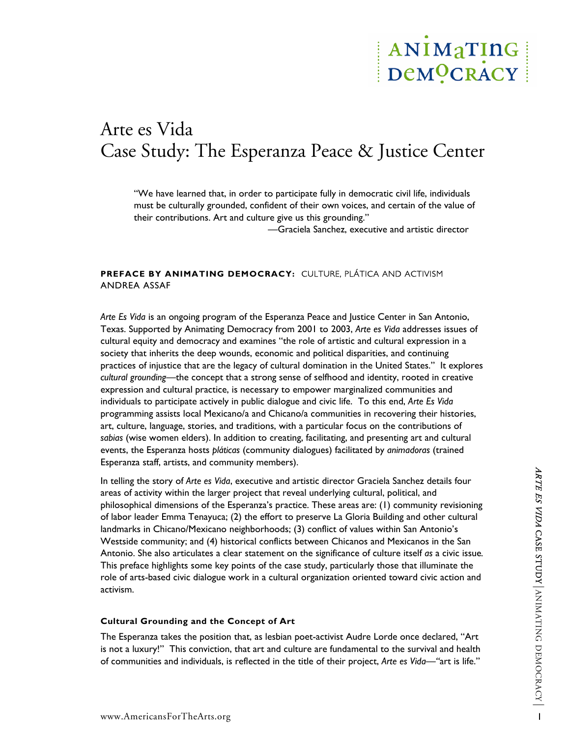# ANIMATING DeMOCRACY

# Arte es Vida Case Study: The Esperanza Peace & Justice Center

"We have learned that, in order to participate fully in democratic civil life, individuals must be culturally grounded, confident of their own voices, and certain of the value of their contributions. Art and culture give us this grounding."

—Graciela Sanchez, executive and artistic director

# **PREFACE BY ANIMATING DEMOCRACY:** CULTURE, PLÁTICA AND ACTIVISM ANDREA ASSAF

*Arte Es Vida* is an ongoing program of the Esperanza Peace and Justice Center in San Antonio, Texas. Supported by Animating Democracy from 2001 to 2003, *Arte es Vida* addresses issues of cultural equity and democracy and examines "the role of artistic and cultural expression in a society that inherits the deep wounds, economic and political disparities, and continuing practices of injustice that are the legacy of cultural domination in the United States." It explores *cultural grounding—*the concept that a strong sense of selfhood and identity, rooted in creative expression and cultural practice, is necessary to empower marginalized communities and individuals to participate actively in public dialogue and civic life. To this end, *Arte Es Vida* programming assists local Mexicano/a and Chicano/a communities in recovering their histories, art, culture, language, stories, and traditions, with a particular focus on the contributions of *sabias* (wise women elders). In addition to creating, facilitating, and presenting art and cultural events, the Esperanza hosts *pláticas* (community dialogues) facilitated by *animadoras* (trained Esperanza staff, artists, and community members).

In telling the story of Arte es Vida, executive and artistic director Graciela Sanchez details four<br>
areas of activity within the larger project that reveal underlying cultural, political, and<br>
philosophical dimensions of In telling the story of *Arte es Vida*, executive and artistic director Graciela Sanchez details four areas of activity within the larger project that reveal underlying cultural, political, and philosophical dimensions of the Esperanza's practice. These areas are: (1) community revisioning of labor leader Emma Tenayuca; (2) the effort to preserve La Gloria Building and other cultural landmarks in Chicano/Mexicano neighborhoods; (3) conflict of values within San Antonio's Westside community; and (4) historical conflicts between Chicanos and Mexicanos in the San Antonio. She also articulates a clear statement on the significance of culture itself *as* a civic issue*.* This preface highlights some key points of the case study, particularly those that illuminate the role of arts-based civic dialogue work in a cultural organization oriented toward civic action and activism.

#### **Cultural Grounding and the Concept of Art**

The Esperanza takes the position that, as lesbian poet-activist Audre Lorde once declared, "Art is not a luxury!" This conviction, that art and culture are fundamental to the survival and health of communities and individuals, is reflected in the title of their project, *Arte es Vida—"*art is life."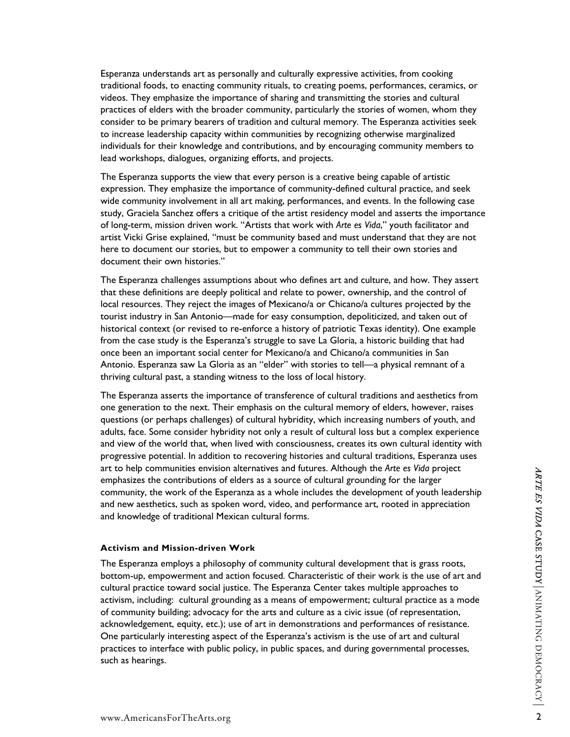Esperanza understands art as personally and culturally expressive activities, from cooking traditional foods, to enacting community rituals, to creating poems, performances, ceramics, or videos. They emphasize the importance of sharing and transmitting the stories and cultural practices of elders with the broader community, particularly the stories of women, whom they consider to be primary bearers of tradition and cultural memory. The Esperanza activities seek to increase leadership capacity within communities by recognizing otherwise marginalized individuals for their knowledge and contributions, and by encouraging community members to lead workshops, dialogues, organizing efforts, and projects.

The Esperanza supports the view that every person is a creative being capable of artistic expression. They emphasize the importance of community-defined cultural practice, and seek wide community involvement in all art making, performances, and events. In the following case study, Graciela Sanchez offers a critique of the artist residency model and asserts the importance of long-term, mission driven work. "Artists that work with *Arte es Vida*," youth facilitator and artist Vicki Grise explained, "must be community based and must understand that they are not here to document our stories, but to empower a community to tell their own stories and document their own histories."

The Esperanza challenges assumptions about who defines art and culture, and how. They assert that these definitions are deeply political and relate to power, ownership, and the control of local resources. They reject the images of Mexicano/a or Chicano/a cultures projected by the tourist industry in San Antonio—made for easy consumption, depoliticized, and taken out of historical context (or revised to re-enforce a history of patriotic Texas identity). One example from the case study is the Esperanza's struggle to save La Gloria, a historic building that had once been an important social center for Mexicano/a and Chicano/a communities in San Antonio. Esperanza saw La Gloria as an "elder" with stories to tell—a physical remnant of a thriving cultural past, a standing witness to the loss of local history.

The Esperanza asserts the importance of transference of cultural traditions and aesthetics from one generation to the next. Their emphasis on the cultural memory of elders, however, raises questions (or perhaps challenges) of cultural hybridity, which increasing numbers of youth, and adults, face. Some consider hybridity not only a result of cultural loss but a complex experience and view of the world that, when lived with consciousness, creates its own cultural identity with progressive potential. In addition to recovering histories and cultural traditions, Esperanza uses art to help communities envision alternatives and futures. Although the *Arte es Vida* project emphasizes the contributions of elders as a source of cultural grounding for the larger community, the work of the Esperanza as a whole includes the development of youth leadership and new aesthetics, such as spoken word, video, and performance art, rooted in appreciation and knowledge of traditional Mexican cultural forms.

#### **Activism and Mission-driven Work**

and the prominumities environmentatives and turbures. Anthough the Arter is viol properties and turburistics, such as spoken word, video, and performance art, rooted in appreciation and the wasterletics, such as spoken wor The Esperanza employs a philosophy of community cultural development that is grass roots, bottom-up, empowerment and action focused. Characteristic of their work is the use of art and cultural practice toward social justice. The Esperanza Center takes multiple approaches to activism, including: cultural grounding as a means of empowerment; cultural practice as a mode of community building; advocacy for the arts and culture as a civic issue (of representation, acknowledgement, equity, etc.); use of art in demonstrations and performances of resistance. One particularly interesting aspect of the Esperanza's activism is the use of art and cultural practices to interface with public policy, in public spaces, and during governmental processes, such as hearings.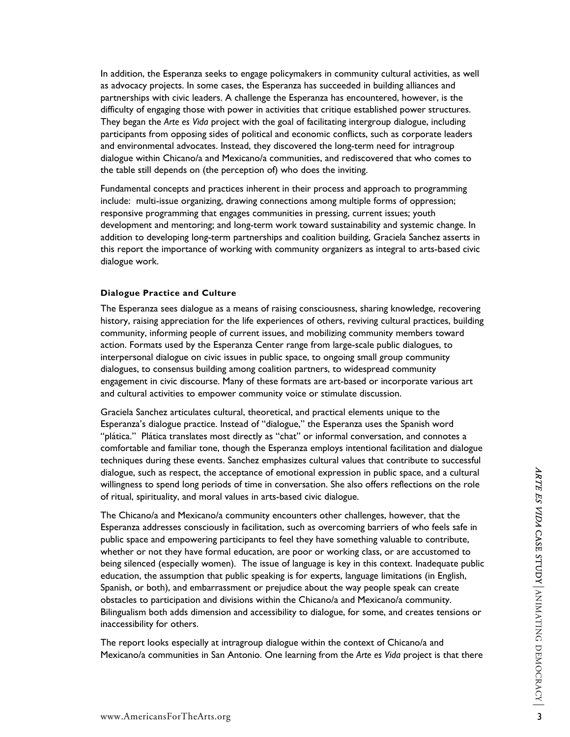In addition, the Esperanza seeks to engage policymakers in community cultural activities, as well as advocacy projects. In some cases, the Esperanza has succeeded in building alliances and partnerships with civic leaders. A challenge the Esperanza has encountered, however, is the difficulty of engaging those with power in activities that critique established power structures. They began the *Arte es Vida* project with the goal of facilitating intergroup dialogue, including participants from opposing sides of political and economic conflicts, such as corporate leaders and environmental advocates. Instead, they discovered the long-term need for intragroup dialogue within Chicano/a and Mexicano/a communities, and rediscovered that who comes to the table still depends on (the perception of) who does the inviting.

Fundamental concepts and practices inherent in their process and approach to programming include: multi-issue organizing, drawing connections among multiple forms of oppression; responsive programming that engages communities in pressing, current issues; youth development and mentoring; and long-term work toward sustainability and systemic change. In addition to developing long-term partnerships and coalition building, Graciela Sanchez asserts in this report the importance of working with community organizers as integral to arts-based civic dialogue work.

#### **Dialogue Practice and Culture**

The Esperanza sees dialogue as a means of raising consciousness, sharing knowledge, recovering history, raising appreciation for the life experiences of others, reviving cultural practices, building community, informing people of current issues, and mobilizing community members toward action. Formats used by the Esperanza Center range from large-scale public dialogues, to interpersonal dialogue on civic issues in public space, to ongoing small group community dialogues, to consensus building among coalition partners, to widespread community engagement in civic discourse. Many of these formats are art-based or incorporate various art and cultural activities to empower community voice or stimulate discussion.

Graciela Sanchez articulates cultural, theoretical, and practical elements unique to the Esperanza's dialogue practice. Instead of "dialogue," the Esperanza uses the Spanish word "plática." Plática translates most directly as "chat" or informal conversation, and connotes a comfortable and familiar tone, though the Esperanza employs intentional facilitation and dialogue techniques during these events. Sanchez emphasizes cultural values that contribute to successful dialogue, such as respect, the acceptance of emotional expression in public space, and a cultural willingness to spend long periods of time in conversation. She also offers reflections on the role of ritual, spirituality, and moral values in arts-based civic dialogue.

dialogue, such as respect, the acceptance of emotional expression in public space, and a cultural<br>willingness to spend long periods of time in conversation. She also offers reflections on the role<br>of ritual, spirituality, The Chicano/a and Mexicano/a community encounters other challenges, however, that the Esperanza addresses consciously in facilitation, such as overcoming barriers of who feels safe in public space and empowering participants to feel they have something valuable to contribute, whether or not they have formal education, are poor or working class, or are accustomed to being silenced (especially women). The issue of language is key in this context. Inadequate public education, the assumption that public speaking is for experts, language limitations (in English, Spanish, or both), and embarrassment or prejudice about the way people speak can create obstacles to participation and divisions within the Chicano/a and Mexicano/a community. Bilingualism both adds dimension and accessibility to dialogue, for some, and creates tensions or inaccessibility for others.

The report looks especially at intragroup dialogue within the context of Chicano/a and Mexicano/a communities in San Antonio. One learning from the *Arte es Vida* project is that there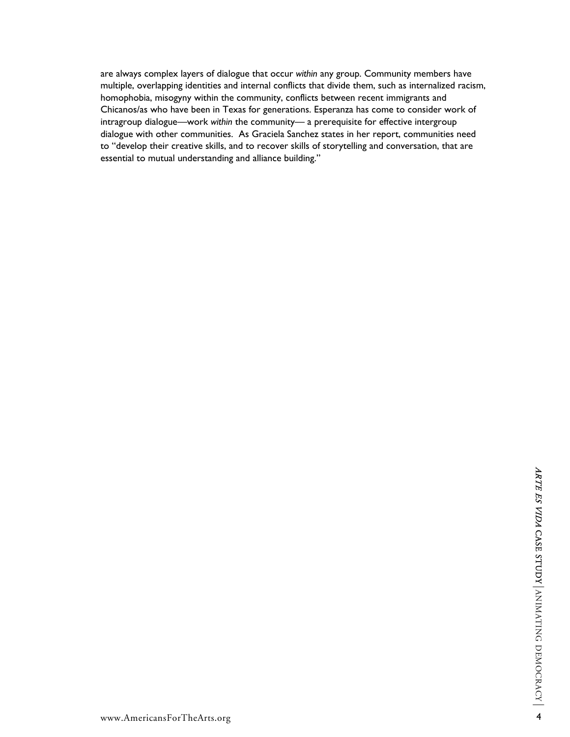are always complex layers of dialogue that occur *within* any group. Community members have multiple, overlapping identities and internal conflicts that divide them, such as internalized racism, homophobia, misogyny within the community, conflicts between recent immigrants and Chicanos/as who have been in Texas for generations. Esperanza has come to consider work of intragroup dialogue—work *within* the community— a prerequisite for effective intergroup dialogue with other communities. As Graciela Sanchez states in her report, communities need to "develop their creative skills, and to recover skills of storytelling and conversation, that are essential to mutual understanding and alliance building."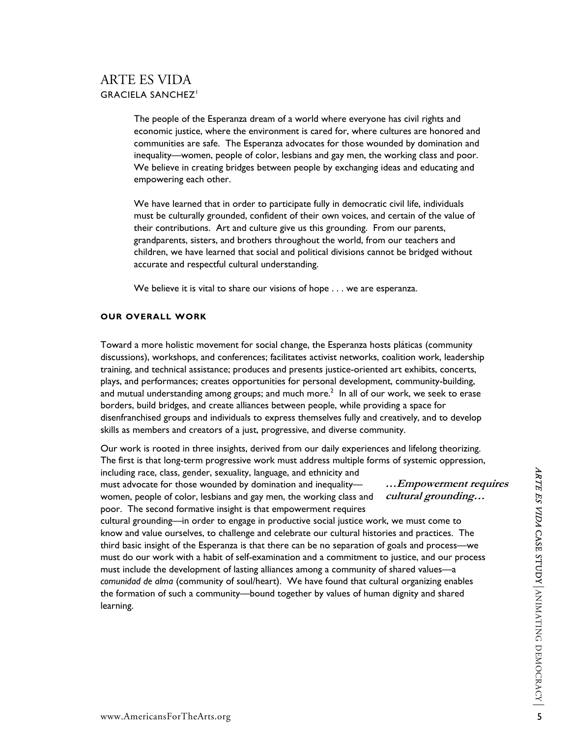# ARTE ES VIDA GRACIELA SANCHEZ<sup>1</sup>

The people of the Esperanza dream of a world where everyone has civil rights and economic justice, where the environment is cared for, where cultures are honored and communities are safe. The Esperanza advocates for those wounded by domination and inequality—women, people of color, lesbians and gay men, the working class and poor. We believe in creating bridges between people by exchanging ideas and educating and empowering each other.

We have learned that in order to participate fully in democratic civil life, individuals must be culturally grounded, confident of their own voices, and certain of the value of their contributions. Art and culture give us this grounding. From our parents, grandparents, sisters, and brothers throughout the world, from our teachers and children, we have learned that social and political divisions cannot be bridged without accurate and respectful cultural understanding.

We believe it is vital to share our visions of hope . . . we are esperanza.

#### **OUR OVERALL WORK**

Toward a more holistic movement for social change, the Esperanza hosts pláticas (community discussions), workshops, and conferences; facilitates activist networks, coalition work, leadership training, and technical assistance; produces and presents justice-oriented art exhibits, concerts, plays, and performances; creates opportunities for personal development, community-building, and mutual understanding among groups; and much more. $^2\,$  In all of our work, we seek to erase borders, build bridges, and create alliances between people, while providing a space for disenfranchised groups and individuals to express themselves fully and creatively, and to develop skills as members and creators of a just, progressive, and diverse community.

Our work is rooted in three insights, derived from our daily experiences and lifelong theorizing. The first is that long-term progressive work must address multiple forms of systemic oppression, including race, class, gender, sexuality, language, and ethnicity and

must advocate for those wounded by domination and inequality women, people of color, lesbians and gay men, the working class and poor. The second formative insight is that empowerment requires

**…Empowerment requires cultural grounding…** 

including race, class, gender, sexuality, language, and ethnicity and<br>must advocate for those wounded by domination and inequality—<br>women, people of color, lesbians and gay men, the working class and cultural grounding...<br> cultural grounding—in order to engage in productive social justice work, we must come to know and value ourselves, to challenge and celebrate our cultural histories and practices. The third basic insight of the Esperanza is that there can be no separation of goals and process—we must do our work with a habit of self-examination and a commitment to justice, and our process must include the development of lasting alliances among a community of shared values—a *comunidad de alma* (community of soul/heart). We have found that cultural organizing enables the formation of such a community—bound together by values of human dignity and shared learning.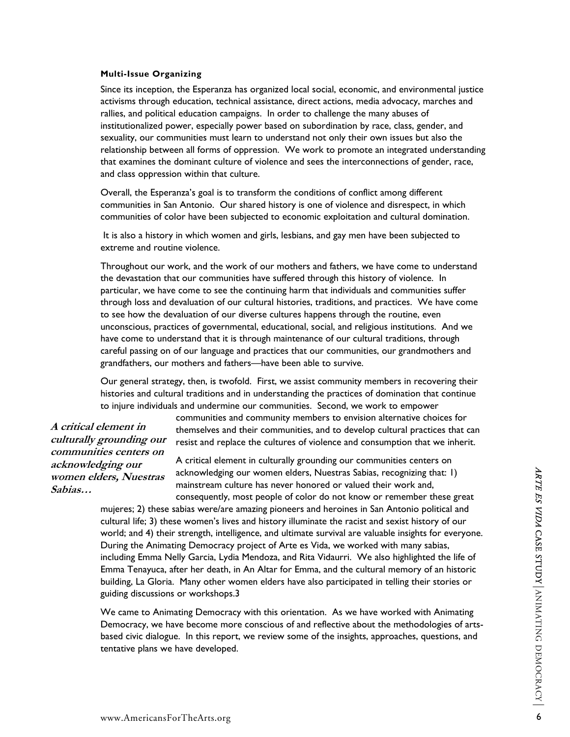#### **Multi-Issue Organizing**

Since its inception, the Esperanza has organized local social, economic, and environmental justice activisms through education, technical assistance, direct actions, media advocacy, marches and rallies, and political education campaigns. In order to challenge the many abuses of institutionalized power, especially power based on subordination by race, class, gender, and sexuality, our communities must learn to understand not only their own issues but also the relationship between all forms of oppression. We work to promote an integrated understanding that examines the dominant culture of violence and sees the interconnections of gender, race, and class oppression within that culture.

Overall, the Esperanza's goal is to transform the conditions of conflict among different communities in San Antonio. Our shared history is one of violence and disrespect, in which communities of color have been subjected to economic exploitation and cultural domination.

 It is also a history in which women and girls, lesbians, and gay men have been subjected to extreme and routine violence.

Throughout our work, and the work of our mothers and fathers, we have come to understand the devastation that our communities have suffered through this history of violence. In particular, we have come to see the continuing harm that individuals and communities suffer through loss and devaluation of our cultural histories, traditions, and practices. We have come to see how the devaluation of our diverse cultures happens through the routine, even unconscious, practices of governmental, educational, social, and religious institutions. And we have come to understand that it is through maintenance of our cultural traditions, through careful passing on of our language and practices that our communities, our grandmothers and grandfathers, our mothers and fathers—have been able to survive.

Our general strategy, then, is twofold. First, we assist community members in recovering their histories and cultural traditions and in understanding the practices of domination that continue to injure individuals and undermine our communities. Second, we work to empower

**A critical element in culturally grounding our communities centers on acknowledging our women elders, Nuestras Sabias…** 

communities and community members to envision alternative choices for themselves and their communities, and to develop cultural practices that can resist and replace the cultures of violence and consumption that we inherit.

A critical element in culturally grounding our communities centers on acknowledging our women elders, Nuestras Sabias, recognizing that: 1) mainstream culture has never honored or valued their work and, consequently, most people of color do not know or remember these great

Errs, *Nuestras* acknowledging our women elders, Nuestras Sabias, recognizing that: 1)<br>
mainstream culture has never honored or valued their work and,<br>
consequently, most people of color do not know or remember these great mujeres; 2) these sabias were/are amazing pioneers and heroines in San Antonio political and cultural life; 3) these women's lives and history illuminate the racist and sexist history of our world; and 4) their strength, intelligence, and ultimate survival are valuable insights for everyone. During the Animating Democracy project of Arte es Vida, we worked with many sabias, including Emma Nelly Garcia, Lydia Mendoza, and Rita Vidaurri. We also highlighted the life of Emma Tenayuca, after her death, in An Altar for Emma, and the cultural memory of an historic building, La Gloria. Many other women elders have also participated in telling their stories or guiding discussions or workshops.3

We came to Animating Democracy with this orientation. As we have worked with Animating Democracy, we have become more conscious of and reflective about the methodologies of artsbased civic dialogue. In this report, we review some of the insights, approaches, questions, and tentative plans we have developed.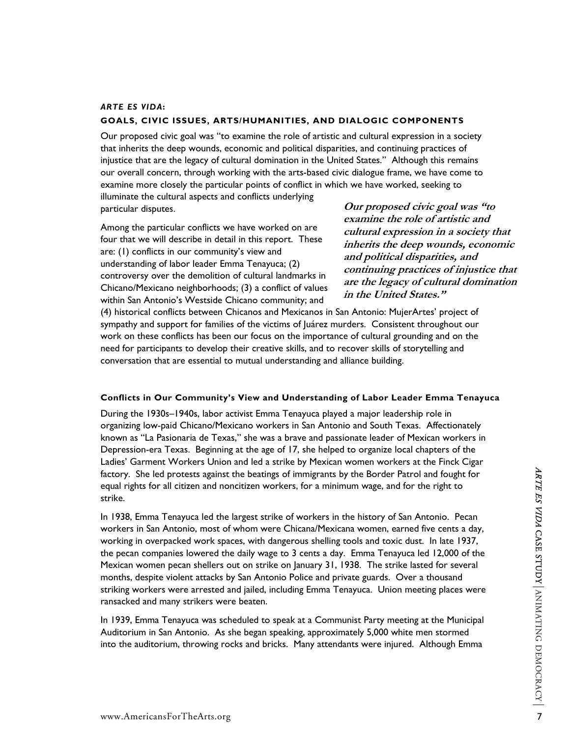#### *ARTE ES VIDA***:**

#### **GOALS, CIVIC ISSUES, ARTS/HUMANITIES, AND DIALOGIC COMPONENTS**

Our proposed civic goal was "to examine the role of artistic and cultural expression in a society that inherits the deep wounds, economic and political disparities, and continuing practices of injustice that are the legacy of cultural domination in the United States." Although this remains our overall concern, through working with the arts-based civic dialogue frame, we have come to examine more closely the particular points of conflict in which we have worked, seeking to illuminate the cultural aspects and conflicts underlying

particular disputes.

Among the particular conflicts we have worked on are four that we will describe in detail in this report. These are: (1) conflicts in our community's view and understanding of labor leader Emma Tenayuca; (2) controversy over the demolition of cultural landmarks in Chicano/Mexicano neighborhoods; (3) a conflict of values within San Antonio's Westside Chicano community; and

**Our proposed civic goal was "to examine the role of artistic and cultural expression in a society that inherits the deep wounds, economic and political disparities, and continuing practices of injustice that are the legacy of cultural domination in the United States."**

(4) historical conflicts between Chicanos and Mexicanos in San Antonio: MujerArtes' project of sympathy and support for families of the victims of Juárez murders. Consistent throughout our work on these conflicts has been our focus on the importance of cultural grounding and on the need for participants to develop their creative skills, and to recover skills of storytelling and conversation that are essential to mutual understanding and alliance building.

#### **Conflicts in Our Community's View and Understanding of Labor Leader Emma Tenayuca**

During the 1930s–1940s, labor activist Emma Tenayuca played a major leadership role in organizing low-paid Chicano/Mexicano workers in San Antonio and South Texas. Affectionately known as "La Pasionaria de Texas," she was a brave and passionate leader of Mexican workers in Depression-era Texas. Beginning at the age of 17, she helped to organize local chapters of the Ladies' Garment Workers Union and led a strike by Mexican women workers at the Finck Cigar factory. She led protests against the beatings of immigrants by the Border Patrol and fought for equal rights for all citizen and noncitizen workers, for a minimum wage, and for the right to strike.

factory. She led protests against the beatings of immigrants by the Border Patrol and fought for<br>equal rights for all citizen and noncitizen workers, for a minimum wage, and for the right to<br>strike.<br>In 1938, Emma Tenayuca In 1938, Emma Tenayuca led the largest strike of workers in the history of San Antonio. Pecan workers in San Antonio, most of whom were Chicana/Mexicana women, earned five cents a day, working in overpacked work spaces, with dangerous shelling tools and toxic dust. In late 1937, the pecan companies lowered the daily wage to 3 cents a day. Emma Tenayuca led 12,000 of the Mexican women pecan shellers out on strike on January 31, 1938. The strike lasted for several months, despite violent attacks by San Antonio Police and private guards. Over a thousand striking workers were arrested and jailed, including Emma Tenayuca. Union meeting places were ransacked and many strikers were beaten.

In 1939, Emma Tenayuca was scheduled to speak at a Communist Party meeting at the Municipal Auditorium in San Antonio. As she began speaking, approximately 5,000 white men stormed into the auditorium, throwing rocks and bricks. Many attendants were injured. Although Emma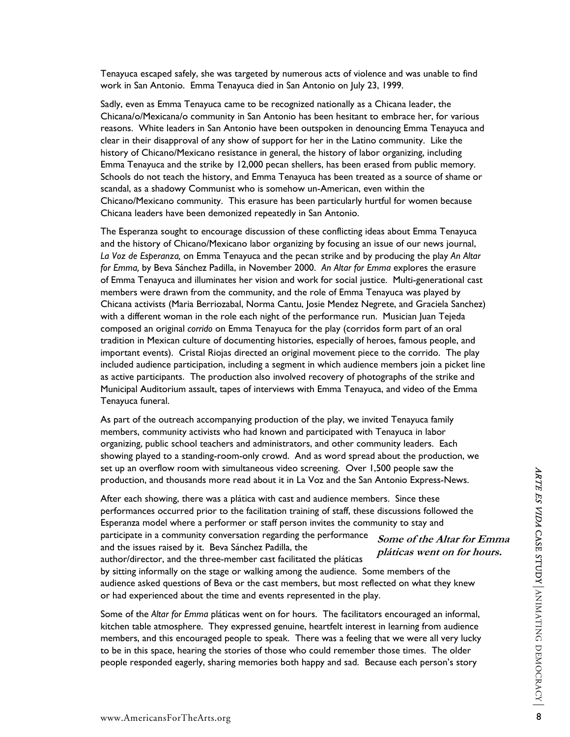Tenayuca escaped safely, she was targeted by numerous acts of violence and was unable to find work in San Antonio. Emma Tenayuca died in San Antonio on July 23, 1999.

Sadly, even as Emma Tenayuca came to be recognized nationally as a Chicana leader, the Chicana/o/Mexicana/o community in San Antonio has been hesitant to embrace her, for various reasons. White leaders in San Antonio have been outspoken in denouncing Emma Tenayuca and clear in their disapproval of any show of support for her in the Latino community. Like the history of Chicano/Mexicano resistance in general, the history of labor organizing, including Emma Tenayuca and the strike by 12,000 pecan shellers, has been erased from public memory. Schools do not teach the history, and Emma Tenayuca has been treated as a source of shame or scandal, as a shadowy Communist who is somehow un-American, even within the Chicano/Mexicano community. This erasure has been particularly hurtful for women because Chicana leaders have been demonized repeatedly in San Antonio.

The Esperanza sought to encourage discussion of these conflicting ideas about Emma Tenayuca and the history of Chicano/Mexicano labor organizing by focusing an issue of our news journal, *La Voz de Esperanza,* on Emma Tenayuca and the pecan strike and by producing the play *An Altar for Emma,* by Beva Sánchez Padilla, in November 2000. *An Altar for Emma* explores the erasure of Emma Tenayuca and illuminates her vision and work for social justice. Multi-generational cast members were drawn from the community, and the role of Emma Tenayuca was played by Chicana activists (Maria Berriozabal, Norma Cantu, Josie Mendez Negrete, and Graciela Sanchez) with a different woman in the role each night of the performance run. Musician Juan Tejeda composed an original *corrido* on Emma Tenayuca for the play (corridos form part of an oral tradition in Mexican culture of documenting histories, especially of heroes, famous people, and important events). Cristal Riojas directed an original movement piece to the corrido. The play included audience participation, including a segment in which audience members join a picket line as active participants. The production also involved recovery of photographs of the strike and Municipal Auditorium assault, tapes of interviews with Emma Tenayuca, and video of the Emma Tenayuca funeral.

As part of the outreach accompanying production of the play, we invited Tenayuca family members, community activists who had known and participated with Tenayuca in labor organizing, public school teachers and administrators, and other community leaders. Each showing played to a standing-room-only crowd. And as word spread about the production, we set up an overflow room with simultaneous video screening. Over 1,500 people saw the production, and thousands more read about it in La Voz and the San Antonio Express-News.

Set up an overlow room with simultaneous Video screening. Over 1,500 people saw the<br>eproduction, and thousands more read about it in La Voz and the San Antonio Express-News.<br>After each showing, there was a platica with cas After each showing, there was a plática with cast and audience members. Since these performances occurred prior to the facilitation training of staff, these discussions followed the Esperanza model where a performer or staff person invites the community to stay and participate in a community conversation regarding the performance and the issues raised by it. Beva Sánchez Padilla, the author/director, and the three-member cast facilitated the pláticas by sitting informally on the stage or walking among the audience. Some members of the audience asked questions of Beva or the cast members, but most reflected on what they knew or had experienced about the time and events represented in the play. **Some of the Altar for Emma pláticas went on for hours.**

Some of the *Altar for Emma* pláticas went on for hours. The facilitators encouraged an informal, kitchen table atmosphere. They expressed genuine, heartfelt interest in learning from audience members, and this encouraged people to speak. There was a feeling that we were all very lucky to be in this space, hearing the stories of those who could remember those times. The older people responded eagerly, sharing memories both happy and sad. Because each person's story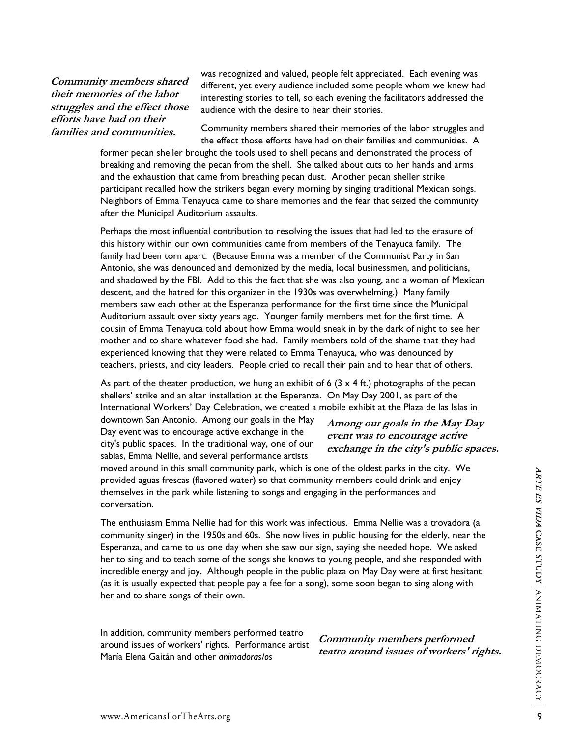**Community members shared their memories of the labor struggles and the effect those efforts have had on their families and communities.** 

was recognized and valued, people felt appreciated. Each evening was different, yet every audience included some people whom we knew had interesting stories to tell, so each evening the facilitators addressed the audience with the desire to hear their stories.

Community members shared their memories of the labor struggles and the effect those efforts have had on their families and communities. A

former pecan sheller brought the tools used to shell pecans and demonstrated the process of breaking and removing the pecan from the shell. She talked about cuts to her hands and arms and the exhaustion that came from breathing pecan dust. Another pecan sheller strike participant recalled how the strikers began every morning by singing traditional Mexican songs. Neighbors of Emma Tenayuca came to share memories and the fear that seized the community after the Municipal Auditorium assaults.

Perhaps the most influential contribution to resolving the issues that had led to the erasure of this history within our own communities came from members of the Tenayuca family. The family had been torn apart. (Because Emma was a member of the Communist Party in San Antonio, she was denounced and demonized by the media, local businessmen, and politicians, and shadowed by the FBI. Add to this the fact that she was also young, and a woman of Mexican descent, and the hatred for this organizer in the 1930s was overwhelming.) Many family members saw each other at the Esperanza performance for the first time since the Municipal Auditorium assault over sixty years ago. Younger family members met for the first time. A cousin of Emma Tenayuca told about how Emma would sneak in by the dark of night to see her mother and to share whatever food she had. Family members told of the shame that they had experienced knowing that they were related to Emma Tenayuca, who was denounced by teachers, priests, and city leaders. People cried to recall their pain and to hear that of others.

As part of the theater production, we hung an exhibit of 6  $(3 \times 4 \text{ ft.})$  photographs of the pecan shellers' strike and an altar installation at the Esperanza. On May Day 2001, as part of the International Workers' Day Celebration, we created a mobile exhibit at the Plaza de las Islas in

downtown San Antonio. Among our goals in the May Day event was to encourage active exchange in the city's public spaces. In the traditional way, one of our sabias, Emma Nellie, and several performance artists

**Among our goals in the May Day event was to encourage active exchange in the city's public spaces.** 

moved around in this small community park, which is one of the oldest parks in the city. We provided aguas frescas (flavored water) so that community members could drink and enjoy themselves in the park while listening to songs and engaging in the performances and conversation.

moved around in this small community part, which is one of the order parts parts in the city. We<br>provided aguas frescas (flavored water) so that community members could drink and enjoy<br>themselves in the park while listenin The enthusiasm Emma Nellie had for this work was infectious. Emma Nellie was a trovadora (a community singer) in the 1950s and 60s. She now lives in public housing for the elderly, near the Esperanza, and came to us one day when she saw our sign, saying she needed hope. We asked her to sing and to teach some of the songs she knows to young people, and she responded with incredible energy and joy. Although people in the public plaza on May Day were at first hesitant (as it is usually expected that people pay a fee for a song), some soon began to sing along with her and to share songs of their own.

In addition, community members performed teatro around issues of workers' rights. Performance artist María Elena Gaitán and other *animadoras/os*

**Community members performed teatro around issues of workers' rights.**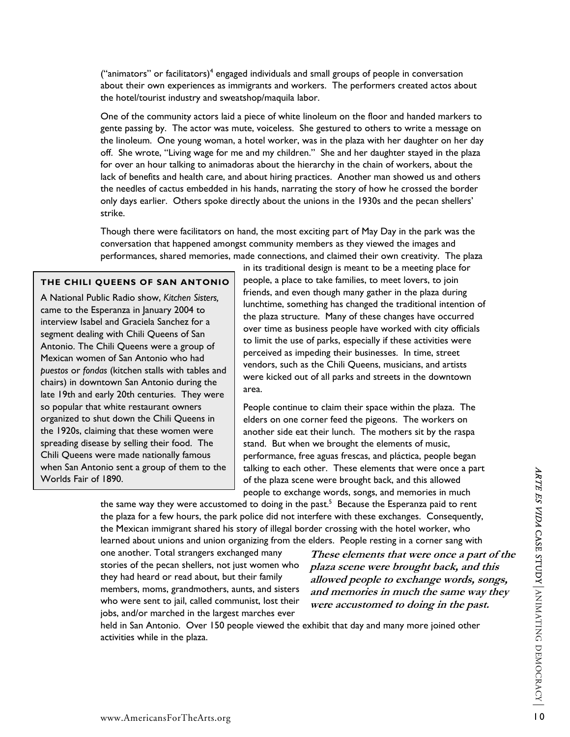("animators" or facilitators)<sup>4</sup> engaged individuals and small groups of people in conversation about their own experiences as immigrants and workers. The performers created actos about the hotel/tourist industry and sweatshop/maquila labor.

One of the community actors laid a piece of white linoleum on the floor and handed markers to gente passing by. The actor was mute, voiceless. She gestured to others to write a message on the linoleum. One young woman, a hotel worker, was in the plaza with her daughter on her day off. She wrote, "Living wage for me and my children." She and her daughter stayed in the plaza for over an hour talking to animadoras about the hierarchy in the chain of workers, about the lack of benefits and health care, and about hiring practices. Another man showed us and others the needles of cactus embedded in his hands, narrating the story of how he crossed the border only days earlier. Others spoke directly about the unions in the 1930s and the pecan shellers' strike.

Though there were facilitators on hand, the most exciting part of May Day in the park was the conversation that happened amongst community members as they viewed the images and performances, shared memories, made connections, and claimed their own creativity. The plaza

#### **THE CHILI QUEENS OF SAN ANTONIO**

A National Public Radio show, *Kitchen Sisters,* came to the Esperanza in January 2004 to interview Isabel and Graciela Sanchez for a segment dealing with Chili Queens of San Antonio. The Chili Queens were a group of Mexican women of San Antonio who had *puestos* or *fondas* (kitchen stalls with tables and chairs) in downtown San Antonio during the late 19th and early 20th centuries. They were so popular that white restaurant owners organized to shut down the Chili Queens in the 1920s, claiming that these women were spreading disease by selling their food. The Chili Queens were made nationally famous when San Antonio sent a group of them to the Worlds Fair of 1890.

in its traditional design is meant to be a meeting place for people, a place to take families, to meet lovers, to join friends, and even though many gather in the plaza during lunchtime, something has changed the traditional intention of the plaza structure. Many of these changes have occurred over time as business people have worked with city officials to limit the use of parks, especially if these activities were perceived as impeding their businesses. In time, street vendors, such as the Chili Queens, musicians, and artists were kicked out of all parks and streets in the downtown area.

People continue to claim their space within the plaza. The elders on one corner feed the pigeons. The workers on another side eat their lunch. The mothers sit by the raspa stand. But when we brought the elements of music, performance, free aguas frescas, and pláctica, people began talking to each other. These elements that were once a part of the plaza scene were brought back, and this allowed people to exchange words, songs, and memories in much

In a specific the plaza scene were brought back, and this allowed<br>
He same way they were accustomed to doing in the past<sup>2</sup>. Because the Esperanza paid to rent<br>
the same way they were accustomed to doing in the past<sup>2</sup>. B the same way they were accustomed to doing in the past.<sup>5</sup> Because the Esperanza paid to rent the plaza for a few hours, the park police did not interfere with these exchanges. Consequently, the Mexican immigrant shared his story of illegal border crossing with the hotel worker, who learned about unions and union organizing from the elders. People resting in a corner sang with

one another. Total strangers exchanged many stories of the pecan shellers, not just women who they had heard or read about, but their family members, moms, grandmothers, aunts, and sisters who were sent to jail, called communist, lost their jobs, and/or marched in the largest marches ever

**These elements that were once a part of the plaza scene were brought back, and this allowed people to exchange words, songs, and memories in much the same way they were accustomed to doing in the past.** 

held in San Antonio. Over 150 people viewed the exhibit that day and many more joined other activities while in the plaza.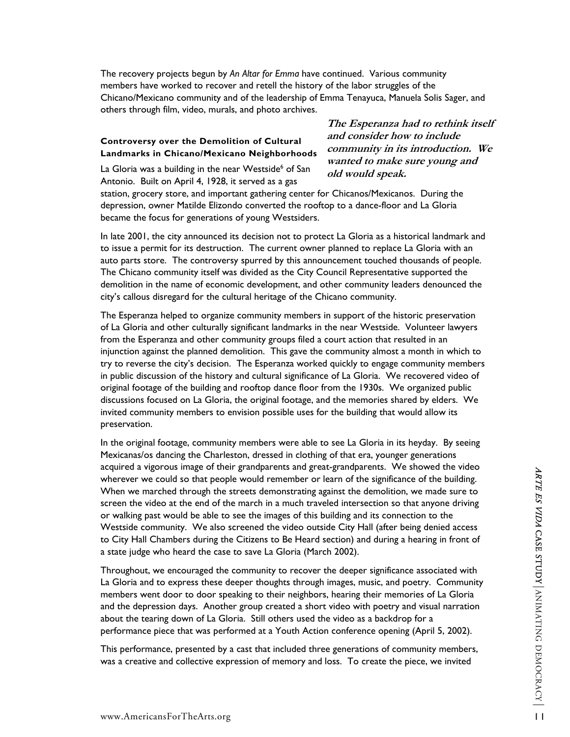The recovery projects begun by *An Altar for Emma* have continued. Various community members have worked to recover and retell the history of the labor struggles of the Chicano/Mexicano community and of the leadership of Emma Tenayuca, Manuela Solis Sager, and others through film, video, murals, and photo archives.

#### **Controversy over the Demolition of Cultural Landmarks in Chicano/Mexicano Neighborhoods**

**The Esperanza had to rethink itself and consider how to include community in its introduction. We wanted to make sure young and old would speak.** 

La Gloria was a building in the near Westside<sup>6</sup> of San Antonio. Built on April 4, 1928, it served as a gas

station, grocery store, and important gathering center for Chicanos/Mexicanos. During the depression, owner Matilde Elizondo converted the rooftop to a dance-floor and La Gloria became the focus for generations of young Westsiders.

In late 2001, the city announced its decision not to protect La Gloria as a historical landmark and to issue a permit for its destruction. The current owner planned to replace La Gloria with an auto parts store. The controversy spurred by this announcement touched thousands of people. The Chicano community itself was divided as the City Council Representative supported the demolition in the name of economic development, and other community leaders denounced the city's callous disregard for the cultural heritage of the Chicano community.

The Esperanza helped to organize community members in support of the historic preservation of La Gloria and other culturally significant landmarks in the near Westside. Volunteer lawyers from the Esperanza and other community groups filed a court action that resulted in an injunction against the planned demolition. This gave the community almost a month in which to try to reverse the city's decision. The Esperanza worked quickly to engage community members in public discussion of the history and cultural significance of La Gloria. We recovered video of original footage of the building and rooftop dance floor from the 1930s. We organized public discussions focused on La Gloria, the original footage, and the memories shared by elders. We invited community members to envision possible uses for the building that would allow its preservation.

actum era wegon to the sumplered that and democration and the sumplered of the building.<br>When we marched through the streets demonstrating against the demolition, we made sure to screen the video at the end of the marched In the original footage, community members were able to see La Gloria in its heyday. By seeing Mexicanas/os dancing the Charleston, dressed in clothing of that era, younger generations acquired a vigorous image of their grandparents and great-grandparents. We showed the video wherever we could so that people would remember or learn of the significance of the building. When we marched through the streets demonstrating against the demolition, we made sure to screen the video at the end of the march in a much traveled intersection so that anyone driving or walking past would be able to see the images of this building and its connection to the Westside community. We also screened the video outside City Hall (after being denied access to City Hall Chambers during the Citizens to Be Heard section) and during a hearing in front of a state judge who heard the case to save La Gloria (March 2002).

Throughout, we encouraged the community to recover the deeper significance associated with La Gloria and to express these deeper thoughts through images, music, and poetry. Community members went door to door speaking to their neighbors, hearing their memories of La Gloria and the depression days. Another group created a short video with poetry and visual narration about the tearing down of La Gloria. Still others used the video as a backdrop for a performance piece that was performed at a Youth Action conference opening (April 5, 2002).

This performance, presented by a cast that included three generations of community members, was a creative and collective expression of memory and loss. To create the piece, we invited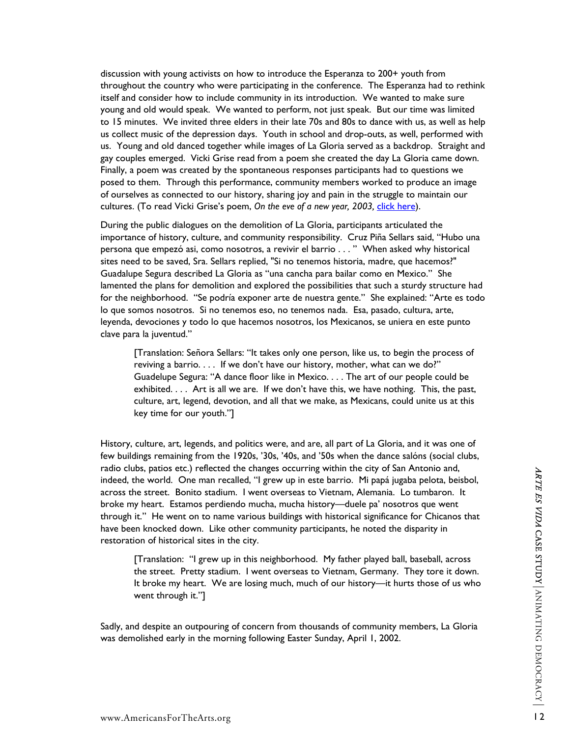discussion with young activists on how to introduce the Esperanza to 200+ youth from throughout the country who were participating in the conference. The Esperanza had to rethink itself and consider how to include community in its introduction. We wanted to make sure young and old would speak. We wanted to perform, not just speak. But our time was limited to 15 minutes. We invited three elders in their late 70s and 80s to dance with us, as well as help us collect music of the depression days. Youth in school and drop-outs, as well, performed with us. Young and old danced together while images of La Gloria served as a backdrop. Straight and gay couples emerged. Vicki Grise read from a poem she created the day La Gloria came down. Finally, a poem was created by the spontaneous responses participants had to questions we posed to them. Through this performance, community members worked to produce an image of ourselves as connected to our history, sharing joy and pain in the struggle to maintain our cultures. (To read Vicki Grise's poem, *On the eve of a new year, 2003,* click here).

During the public dialogues on the demolition of La Gloria, participants articulated the importance of history, culture, and community responsibility. Cruz Piña Sellars said, "Hubo una persona que empezó asi, como nosotros, a revivir el barrio . . . " When asked why historical sites need to be saved, Sra. Sellars replied, "Si no tenemos historia, madre, que hacemos?" Guadalupe Segura described La Gloria as "una cancha para bailar como en Mexico." She lamented the plans for demolition and explored the possibilities that such a sturdy structure had for the neighborhood. "Se podría exponer arte de nuestra gente." She explained: "Arte es todo lo que somos nosotros. Si no tenemos eso, no tenemos nada. Esa, pasado, cultura, arte, leyenda, devociones y todo lo que hacemos nosotros, los Mexicanos, se uniera en este punto clave para la juventud."

[Translation: Señora Sellars: "It takes only one person, like us, to begin the process of reviving a barrio. . . . If we don't have our history, mother, what can we do?" Guadelupe Segura: "A dance floor like in Mexico. . . . The art of our people could be exhibited. . . . Art is all we are. If we don't have this, we have nothing. This, the past, culture, art, legend, devotion, and all that we make, as Mexicans, could unite us at this key time for our youth."]

mando cluss, patotos etc., renected the conges occurring within the city of van Antonio and,<br>indeed, the world. One man recalled, "I grew up in este bario. Mi papa jugaba pelota, beisbol,<br>across the street. Bonito stadium. History, culture, art, legends, and politics were, and are, all part of La Gloria, and it was one of few buildings remaining from the 1920s, '30s, '40s, and '50s when the dance salóns (social clubs, radio clubs, patios etc.) reflected the changes occurring within the city of San Antonio and, indeed, the world. One man recalled, "I grew up in este barrio. Mi papá jugaba pelota, beisbol, across the street. Bonito stadium. I went overseas to Vietnam, Alemania. Lo tumbaron. It broke my heart. Estamos perdiendo mucha, mucha history—duele pa' nosotros que went through it." He went on to name various buildings with historical significance for Chicanos that have been knocked down. Like other community participants, he noted the disparity in restoration of historical sites in the city.

[Translation: "I grew up in this neighborhood. My father played ball, baseball, across the street. Pretty stadium. I went overseas to Vietnam, Germany. They tore it down. It broke my heart. We are losing much, much of our history—it hurts those of us who went through it."]

Sadly, and despite an outpouring of concern from thousands of community members, La Gloria was demolished early in the morning following Easter Sunday, April 1, 2002.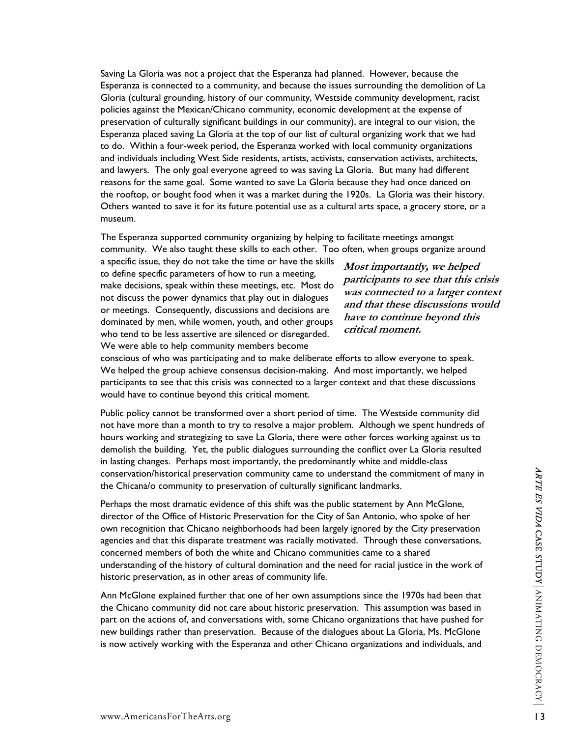Saving La Gloria was not a project that the Esperanza had planned. However, because the Esperanza is connected to a community, and because the issues surrounding the demolition of La Gloria (cultural grounding, history of our community, Westside community development, racist policies against the Mexican/Chicano community, economic development at the expense of preservation of culturally significant buildings in our community), are integral to our vision, the Esperanza placed saving La Gloria at the top of our list of cultural organizing work that we had to do. Within a four-week period, the Esperanza worked with local community organizations and individuals including West Side residents, artists, activists, conservation activists, architects, and lawyers. The only goal everyone agreed to was saving La Gloria. But many had different reasons for the same goal. Some wanted to save La Gloria because they had once danced on the rooftop, or bought food when it was a market during the 1920s. La Gloria was their history. Others wanted to save it for its future potential use as a cultural arts space, a grocery store, or a museum.

The Esperanza supported community organizing by helping to facilitate meetings amongst community. We also taught these skills to each other. Too often, when groups organize around

a specific issue, they do not take the time or have the skills to define specific parameters of how to run a meeting, make decisions, speak within these meetings, etc. Most do not discuss the power dynamics that play out in dialogues or meetings. Consequently, discussions and decisions are dominated by men, while women, youth, and other groups who tend to be less assertive are silenced or disregarded. We were able to help community members become

**Most importantly, we helped participants to see that this crisis was connected to a larger context and that these discussions would have to continue beyond this critical moment.** 

conscious of who was participating and to make deliberate efforts to allow everyone to speak. We helped the group achieve consensus decision-making. And most importantly, we helped participants to see that this crisis was connected to a larger context and that these discussions would have to continue beyond this critical moment.

Public policy cannot be transformed over a short period of time. The Westside community did not have more than a month to try to resolve a major problem. Although we spent hundreds of hours working and strategizing to save La Gloria, there were other forces working against us to demolish the building. Yet, the public dialogues surrounding the conflict over La Gloria resulted in lasting changes. Perhaps most importantly, the predominantly white and middle-class conservation/historical preservation community came to understand the commitment of many in the Chicana/o community to preservation of culturally significant landmarks.

conservation/historical preservation community came to understand the commitment of many in<br>the Chicana/o community to preservation of culturally significant landmarks.<br>
Berhaps the most dramatic evidence of this slift was Perhaps the most dramatic evidence of this shift was the public statement by Ann McGlone, director of the Office of Historic Preservation for the City of San Antonio, who spoke of her own recognition that Chicano neighborhoods had been largely ignored by the City preservation agencies and that this disparate treatment was racially motivated. Through these conversations, concerned members of both the white and Chicano communities came to a shared understanding of the history of cultural domination and the need for racial justice in the work of historic preservation, as in other areas of community life.

Ann McGlone explained further that one of her own assumptions since the 1970s had been that the Chicano community did not care about historic preservation. This assumption was based in part on the actions of, and conversations with, some Chicano organizations that have pushed for new buildings rather than preservation. Because of the dialogues about La Gloria, Ms. McGlone is now actively working with the Esperanza and other Chicano organizations and individuals, and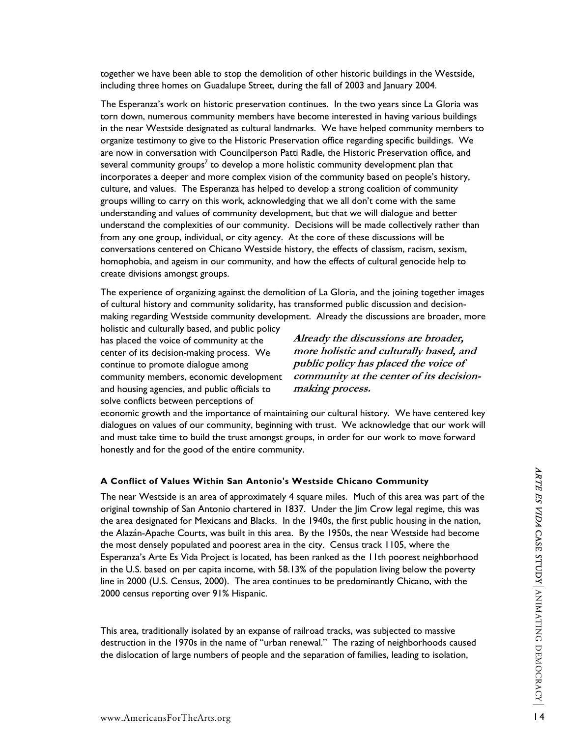together we have been able to stop the demolition of other historic buildings in the Westside, including three homes on Guadalupe Street, during the fall of 2003 and January 2004.

The Esperanza's work on historic preservation continues. In the two years since La Gloria was torn down, numerous community members have become interested in having various buildings in the near Westside designated as cultural landmarks. We have helped community members to organize testimony to give to the Historic Preservation office regarding specific buildings. We are now in conversation with Councilperson Patti Radle, the Historic Preservation office, and several community groups<sup>7</sup> to develop a more holistic community development plan that incorporates a deeper and more complex vision of the community based on people's history, culture, and values. The Esperanza has helped to develop a strong coalition of community groups willing to carry on this work, acknowledging that we all don't come with the same understanding and values of community development, but that we will dialogue and better understand the complexities of our community. Decisions will be made collectively rather than from any one group, individual, or city agency. At the core of these discussions will be conversations centered on Chicano Westside history, the effects of classism, racism, sexism, homophobia, and ageism in our community, and how the effects of cultural genocide help to create divisions amongst groups.

The experience of organizing against the demolition of La Gloria, and the joining together images of cultural history and community solidarity, has transformed public discussion and decisionmaking regarding Westside community development. Already the discussions are broader, more

holistic and culturally based, and public policy has placed the voice of community at the center of its decision-making process. We continue to promote dialogue among community members, economic development and housing agencies, and public officials to solve conflicts between perceptions of

**Already the discussions are broader, more holistic and culturally based, and public policy has placed the voice of community at the center of its decisionmaking process.** 

economic growth and the importance of maintaining our cultural history. We have centered key dialogues on values of our community, beginning with trust. We acknowledge that our work will and must take time to build the trust amongst groups, in order for our work to move forward honestly and for the good of the entire community.

#### **A Conflict of Values Within San Antonio's Westside Chicano Community**

**A Conflict of Values Within San Antonio's Westside Chicano Community<br>
The near Westside is an area of approximately 4 square miles. Much of this area was part of the<br>
original township of San Antonio chartered in 1837. U** The near Westside is an area of approximately 4 square miles. Much of this area was part of the original township of San Antonio chartered in 1837. Under the Jim Crow legal regime, this was the area designated for Mexicans and Blacks. In the 1940s, the first public housing in the nation, the Alazán-Apache Courts, was built in this area. By the 1950s, the near Westside had become the most densely populated and poorest area in the city. Census track 1105, where the Esperanza's Arte Es Vida Project is located, has been ranked as the 11th poorest neighborhood in the U.S. based on per capita income, with 58.13% of the population living below the poverty line in 2000 (U.S. Census, 2000). The area continues to be predominantly Chicano, with the 2000 census reporting over 91% Hispanic.

This area, traditionally isolated by an expanse of railroad tracks, was subjected to massive destruction in the 1970s in the name of "urban renewal." The razing of neighborhoods caused the dislocation of large numbers of people and the separation of families, leading to isolation,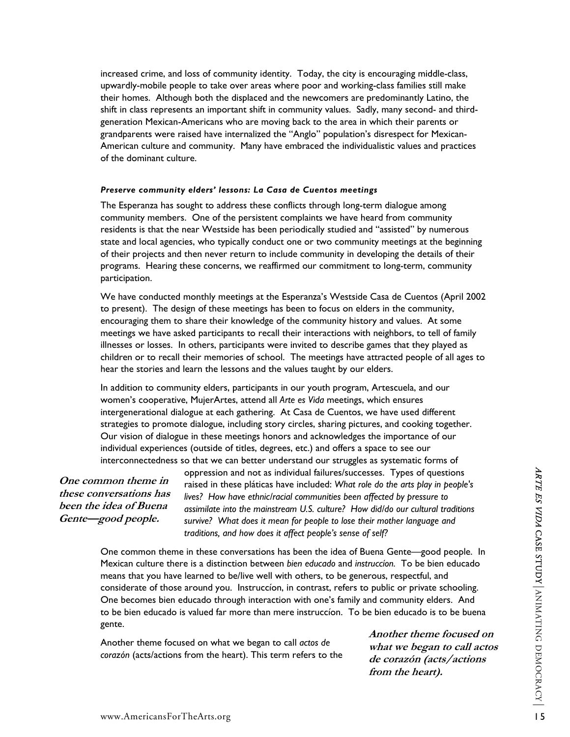increased crime, and loss of community identity. Today, the city is encouraging middle-class, upwardly-mobile people to take over areas where poor and working-class families still make their homes. Although both the displaced and the newcomers are predominantly Latino, the shift in class represents an important shift in community values. Sadly, many second- and thirdgeneration Mexican-Americans who are moving back to the area in which their parents or grandparents were raised have internalized the "Anglo" population's disrespect for Mexican-American culture and community. Many have embraced the individualistic values and practices of the dominant culture.

#### *Preserve community elders' lessons: La Casa de Cuentos meetings*

The Esperanza has sought to address these conflicts through long-term dialogue among community members. One of the persistent complaints we have heard from community residents is that the near Westside has been periodically studied and "assisted" by numerous state and local agencies, who typically conduct one or two community meetings at the beginning of their projects and then never return to include community in developing the details of their programs. Hearing these concerns, we reaffirmed our commitment to long-term, community participation.

We have conducted monthly meetings at the Esperanza's Westside Casa de Cuentos (April 2002 to present). The design of these meetings has been to focus on elders in the community, encouraging them to share their knowledge of the community history and values. At some meetings we have asked participants to recall their interactions with neighbors, to tell of family illnesses or losses. In others, participants were invited to describe games that they played as children or to recall their memories of school. The meetings have attracted people of all ages to hear the stories and learn the lessons and the values taught by our elders.

In addition to community elders, participants in our youth program, Artescuela, and our women's cooperative, MujerArtes, attend all *Arte es Vida* meetings, which ensures intergenerational dialogue at each gathering. At Casa de Cuentos, we have used different strategies to promote dialogue, including story circles, sharing pictures, and cooking together. Our vision of dialogue in these meetings honors and acknowledges the importance of our individual experiences (outside of titles, degrees, etc.) and offers a space to see our interconnectedness so that we can better understand our struggles as systematic forms of

**One common theme in these conversations has been the idea of Buena Gente—good people.** 

oppression and not as individual failures/successes. Types of questions raised in these pláticas have included: *What role do the arts play in people's lives? How have ethnic/racial communities been affected by pressure to assimilate into the mainstream U.S. culture? How did/do our cultural traditions survive? What does it mean for people to lose their mother language and traditions, and how does it affect people's sense of self?* 

mon theme in oppression and not as individual failures/successes. Types of questions<br>
werstations has lines (hiere platicas have included: What role do the eat sploy in people's<br>
idea of Buena assimilate into the moinstre One common theme in these conversations has been the idea of Buena Gente—good people. In Mexican culture there is a distinction between *bien educado* and *instruccíon.* To be bien educado means that you have learned to be/live well with others, to be generous, respectful, and considerate of those around you. Instruccíon, in contrast, refers to public or private schooling. One becomes bien educado through interaction with one's family and community elders. And to be bien educado is valued far more than mere instruccíon. To be bien educado is to be buena gente.

Another theme focused on what we began to call *actos de corazón* (acts/actions from the heart). This term refers to the **Another theme focused on what we began to call actos de corazón (acts/actions from the heart).**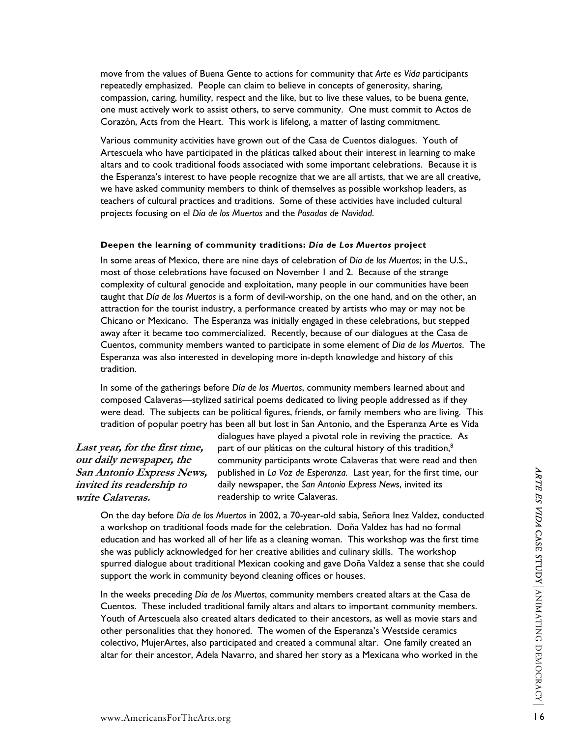move from the values of Buena Gente to actions for community that *Arte es Vida* participants repeatedly emphasized. People can claim to believe in concepts of generosity, sharing, compassion, caring, humility, respect and the like, but to live these values, to be buena gente, one must actively work to assist others, to serve community. One must commit to Actos de Corazón, Acts from the Heart. This work is lifelong, a matter of lasting commitment.

Various community activities have grown out of the Casa de Cuentos dialogues. Youth of Artescuela who have participated in the pláticas talked about their interest in learning to make altars and to cook traditional foods associated with some important celebrations. Because it is the Esperanza's interest to have people recognize that we are all artists, that we are all creative, we have asked community members to think of themselves as possible workshop leaders, as teachers of cultural practices and traditions. Some of these activities have included cultural projects focusing on el *Día de los Muertos* and the *Posadas de Navidad*.

#### **Deepen the learning of community traditions:** *Día de Los Muertos* **project**

In some areas of Mexico, there are nine days of celebration of *Dia de los Muertos*; in the U.S., most of those celebrations have focused on November 1 and 2. Because of the strange complexity of cultural genocide and exploitation, many people in our communities have been taught that *Día de los Muertos* is a form of devil-worship, on the one hand, and on the other, an attraction for the tourist industry, a performance created by artists who may or may not be Chicano or Mexicano. The Esperanza was initially engaged in these celebrations, but stepped away after it became too commercialized. Recently, because of our dialogues at the Casa de Cuentos, community members wanted to participate in some element of *Dia de los Muertos*. The Esperanza was also interested in developing more in-depth knowledge and history of this tradition.

In some of the gatherings before *Día de los Muertos*, community members learned about and composed Calaveras—stylized satirical poems dedicated to living people addressed as if they were dead. The subjects can be political figures, friends, or family members who are living. This tradition of popular poetry has been all but lost in San Antonio, and the Esperanza Arte es Vida

**Last year, for the first time, our daily newspaper, the San Antonio Express News, invited its readership to write Calaveras.** 

dialogues have played a pivotal role in reviving the practice. As part of our pláticas on the cultural history of this tradition,<sup>8</sup> community participants wrote Calaveras that were read and then published in *La Voz de Esperanza.* Last year, for the first time, our daily newspaper, the *San Antonio Express News*, invited its readership to write Calaveras.

Intentio Express News, published in La Voz de Esperanza. Last year, for the first time, our<br>
Calaveras. calous of intervals readership to write Calaveras.<br>
On the day before Dia de los Muertos in 2002, a 70-year-old sabia, On the day before *Día de los Muertos* in 2002, a 70-year-old sabia, Señora Inez Valdez, conducted a workshop on traditional foods made for the celebration. Doña Valdez has had no formal education and has worked all of her life as a cleaning woman. This workshop was the first time she was publicly acknowledged for her creative abilities and culinary skills. The workshop spurred dialogue about traditional Mexican cooking and gave Doña Valdez a sense that she could support the work in community beyond cleaning offices or houses.

In the weeks preceding *Día de los Muertos*, community members created altars at the Casa de Cuentos. These included traditional family altars and altars to important community members. Youth of Artescuela also created altars dedicated to their ancestors, as well as movie stars and other personalities that they honored. The women of the Esperanza's Westside ceramics colectivo, MujerArtes, also participated and created a communal altar. One family created an altar for their ancestor, Adela Navarro, and shared her story as a Mexicana who worked in the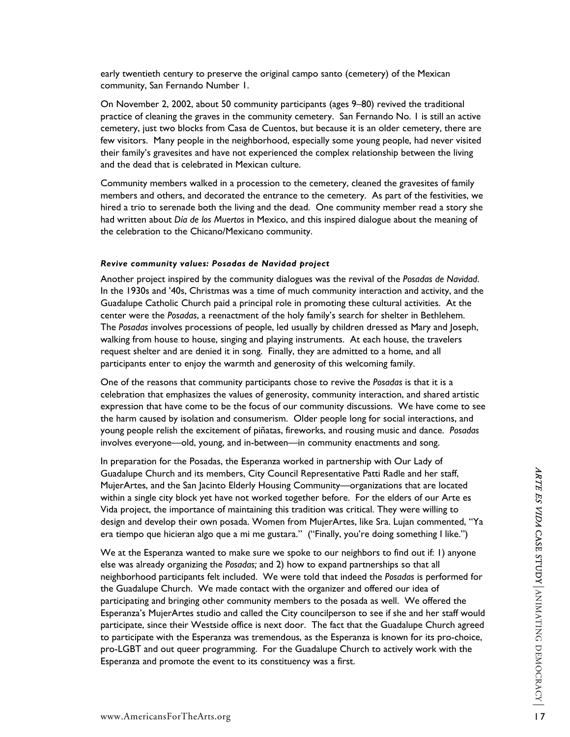early twentieth century to preserve the original campo santo (cemetery) of the Mexican community, San Fernando Number 1.

On November 2, 2002, about 50 community participants (ages 9–80) revived the traditional practice of cleaning the graves in the community cemetery. San Fernando No. 1 is still an active cemetery, just two blocks from Casa de Cuentos, but because it is an older cemetery, there are few visitors. Many people in the neighborhood, especially some young people, had never visited their family's gravesites and have not experienced the complex relationship between the living and the dead that is celebrated in Mexican culture.

Community members walked in a procession to the cemetery, cleaned the gravesites of family members and others, and decorated the entrance to the cemetery. As part of the festivities, we hired a trio to serenade both the living and the dead. One community member read a story she had written about *Día de los Muertos* in Mexico, and this inspired dialogue about the meaning of the celebration to the Chicano/Mexicano community.

#### *Revive community values: Posadas de Navidad project*

Another project inspired by the community dialogues was the revival of the *Posadas de Navidad*. In the 1930s and '40s, Christmas was a time of much community interaction and activity, and the Guadalupe Catholic Church paid a principal role in promoting these cultural activities. At the center were the *Posadas*, a reenactment of the holy family's search for shelter in Bethlehem. The *Posadas* involves processions of people, led usually by children dressed as Mary and Joseph, walking from house to house, singing and playing instruments. At each house, the travelers request shelter and are denied it in song. Finally, they are admitted to a home, and all participants enter to enjoy the warmth and generosity of this welcoming family.

One of the reasons that community participants chose to revive the *Posadas* is that it is a celebration that emphasizes the values of generosity, community interaction, and shared artistic expression that have come to be the focus of our community discussions. We have come to see the harm caused by isolation and consumerism. Older people long for social interactions, and young people relish the excitement of piñatas, fireworks, and rousing music and dance. *Posadas*  involves everyone—old, young, and in-between—in community enactments and song.

In preparation for the Posadas, the Esperanza worked in partnership with Our Lady of Guadalupe Church and its members, City Council Representative Patti Radle and her staff, MujerArtes, and the San Jacinto Elderly Housing Community—organizations that are located within a single city block yet have not worked together before. For the elders of our Arte es Vida project, the importance of maintaining this tradition was critical. They were willing to design and develop their own posada. Women from MujerArtes, like Sra. Lujan commented, "Ya era tiempo que hicieran algo que a mi me gustara." ("Finally, you're doing something I like.")

Guadalupe Church and its members. City Council Representative Patti Radle and her staff,<br>
Migne Artes, and the San Jacinto Elderly Housing Community—organizations that are located<br>
Writhin a single city block yet have not We at the Esperanza wanted to make sure we spoke to our neighbors to find out if: 1) anyone else was already organizing the *Posadas;* and 2) how to expand partnerships so that all neighborhood participants felt included. We were told that indeed the *Posadas* is performed for the Guadalupe Church. We made contact with the organizer and offered our idea of participating and bringing other community members to the posada as well. We offered the Esperanza's MujerArtes studio and called the City councilperson to see if she and her staff would participate, since their Westside office is next door. The fact that the Guadalupe Church agreed to participate with the Esperanza was tremendous, as the Esperanza is known for its pro-choice, pro-LGBT and out queer programming. For the Guadalupe Church to actively work with the Esperanza and promote the event to its constituency was a first.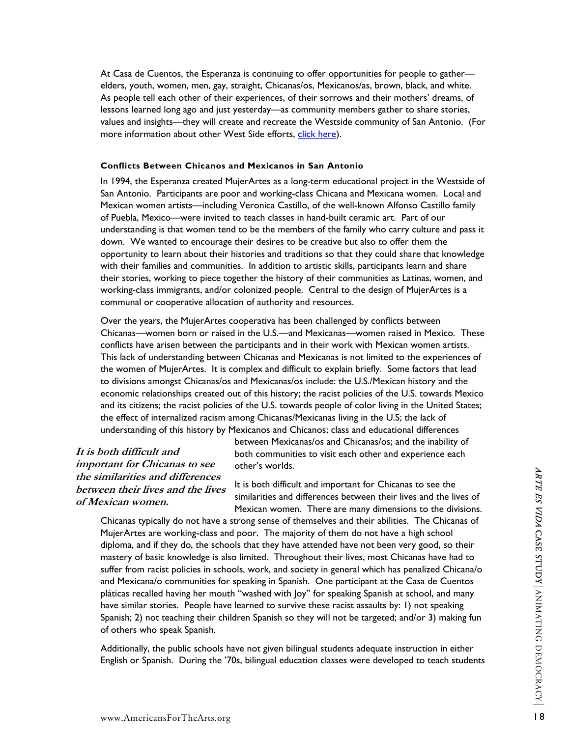At Casa de Cuentos, the Esperanza is continuing to offer opportunities for people to gather elders, youth, women, men, gay, straight, Chicanas/os, Mexicanos/as, brown, black, and white. As people tell each other of their experiences, of their sorrows and their mothers' dreams, of lessons learned long ago and just yesterday—as community members gather to share stories, values and insights—they will create and recreate the Westside community of San Antonio. (For more information about other West Side efforts, click here).

#### **Conflicts Between Chicanos and Mexicanos in San Antonio**

In 1994, the Esperanza created MujerArtes as a long-term educational project in the Westside of San Antonio. Participants are poor and working-class Chicana and Mexicana women. Local and Mexican women artists—including Veronica Castillo, of the well-known Alfonso Castillo family of Puebla, Mexico—were invited to teach classes in hand-built ceramic art. Part of our understanding is that women tend to be the members of the family who carry culture and pass it down. We wanted to encourage their desires to be creative but also to offer them the opportunity to learn about their histories and traditions so that they could share that knowledge with their families and communities. In addition to artistic skills, participants learn and share their stories, working to piece together the history of their communities as Latinas, women, and working-class immigrants, and/or colonized people. Central to the design of MujerArtes is a communal or cooperative allocation of authority and resources.

Over the years, the MujerArtes cooperativa has been challenged by conflicts between Chicanas—women born or raised in the U.S.—and Mexicanas—women raised in Mexico. These conflicts have arisen between the participants and in their work with Mexican women artists. This lack of understanding between Chicanas and Mexicanas is not limited to the experiences of the women of MujerArtes. It is complex and difficult to explain briefly. Some factors that lead to divisions amongst Chicanas/os and Mexicanas/os include: the U.S./Mexican history and the economic relationships created out of this history; the racist policies of the U.S. towards Mexico and its citizens; the racist policies of the U.S. towards people of color living in the United States; the effect of internalized racism among Chicanas/Mexicanas living in the U.S; the lack of understanding of this history by Mexicanos and Chicanos; class and educational differences

**It is both difficult and important for Chicanas to see the similarities and differences between their lives and the lives of Mexican women.** 

between Mexicanas/os and Chicanas/os; and the inability of both communities to visit each other and experience each other's worlds.

It is both difficult and important for Chicanas to see the similarities and differences between their lives and the lives of Mexican women. There are many dimensions to the divisions.

imilarities and differences<br>
en their lives and differences busined that induct and important for Chicanas to see the<br>
similarities and the lives of<br>
Mujer Artes are working-class and poor. The majority of them do not hav Chicanas typically do not have a strong sense of themselves and their abilities. The Chicanas of MujerArtes are working-class and poor. The majority of them do not have a high school diploma, and if they do, the schools that they have attended have not been very good, so their mastery of basic knowledge is also limited. Throughout their lives, most Chicanas have had to suffer from racist policies in schools, work, and society in general which has penalized Chicana/o and Mexicana/o communities for speaking in Spanish. One participant at the Casa de Cuentos pláticas recalled having her mouth "washed with Joy" for speaking Spanish at school, and many have similar stories. People have learned to survive these racist assaults by: 1) not speaking Spanish; 2) not teaching their children Spanish so they will not be targeted; and/or 3) making fun of others who speak Spanish.

Additionally, the public schools have not given bilingual students adequate instruction in either English or Spanish. During the '70s, bilingual education classes were developed to teach students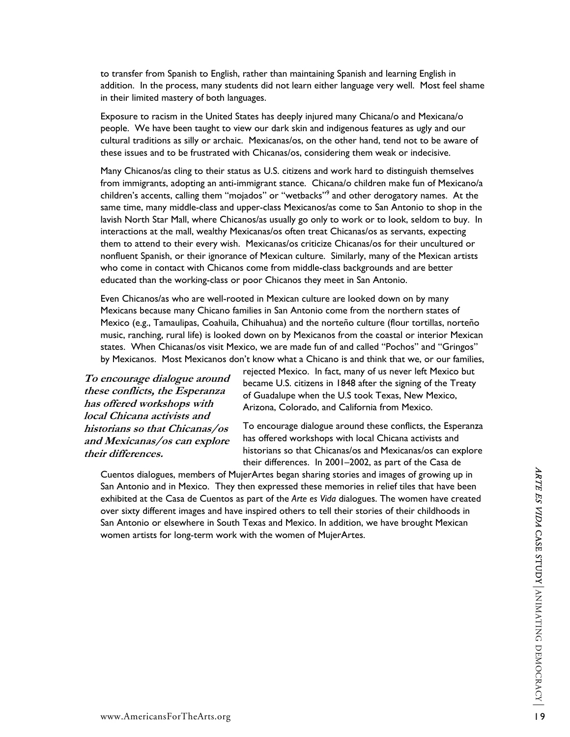to transfer from Spanish to English, rather than maintaining Spanish and learning English in addition. In the process, many students did not learn either language very well. Most feel shame in their limited mastery of both languages.

Exposure to racism in the United States has deeply injured many Chicana/o and Mexicana/o people. We have been taught to view our dark skin and indigenous features as ugly and our cultural traditions as silly or archaic. Mexicanas/os, on the other hand, tend not to be aware of these issues and to be frustrated with Chicanas/os, considering them weak or indecisive.

Many Chicanos/as cling to their status as U.S. citizens and work hard to distinguish themselves from immigrants, adopting an anti-immigrant stance. Chicana/o children make fun of Mexicano/a children's accents, calling them "mojados" or "wetbacks"<sup>9</sup> and other derogatory names. At the same time, many middle-class and upper-class Mexicanos/as come to San Antonio to shop in the lavish North Star Mall, where Chicanos/as usually go only to work or to look, seldom to buy. In interactions at the mall, wealthy Mexicanas/os often treat Chicanas/os as servants, expecting them to attend to their every wish. Mexicanas/os criticize Chicanas/os for their uncultured or nonfluent Spanish, or their ignorance of Mexican culture. Similarly, many of the Mexican artists who come in contact with Chicanos come from middle-class backgrounds and are better educated than the working-class or poor Chicanos they meet in San Antonio.

Even Chicanos/as who are well-rooted in Mexican culture are looked down on by many Mexicans because many Chicano families in San Antonio come from the northern states of Mexico (e.g., Tamaulipas, Coahuila, Chihuahua) and the norteño culture (flour tortillas, norteño music, ranching, rural life) is looked down on by Mexicanos from the coastal or interior Mexican states. When Chicanas/os visit Mexico, we are made fun of and called "Pochos" and "Gringos" by Mexicanos. Most Mexicanos don't know what a Chicano is and think that we, or our families,

**To encourage dialogue around these conflicts, the Esperanza has offered workshops with local Chicana activists and historians so that Chicanas/os and Mexicanas/os can explore their differences.** 

rejected Mexico. In fact, many of us never left Mexico but became U.S. citizens in 1848 after the signing of the Treaty of Guadalupe when the U.S took Texas, New Mexico, Arizona, Colorado, and California from Mexico.

To encourage dialogue around these conflicts, the Esperanza has offered workshops with local Chicana activists and historians so that Chicanas/os and Mexicanas/os can explore their differences. In 2001–2002, as part of the Casa de

Cuentos dialogues, members of MujerArtes began sharing stories and images of growing up in<br>San Antonio and in Mexico. They then expressed these memories in relief tiles that have been<br>exhibited at the Casa de Cuentos as pa Cuentos dialogues, members of MujerArtes began sharing stories and images of growing up in San Antonio and in Mexico. They then expressed these memories in relief tiles that have been exhibited at the Casa de Cuentos as part of the *Arte es Vida* dialogues. The women have created over sixty different images and have inspired others to tell their stories of their childhoods in San Antonio or elsewhere in South Texas and Mexico. In addition, we have brought Mexican women artists for long-term work with the women of MujerArtes.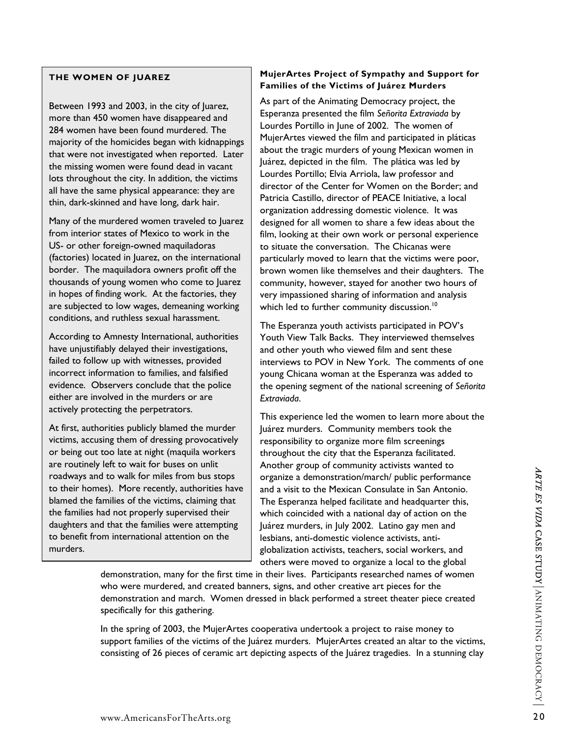#### **THE WOMEN OF JUAREZ**

Between 1993 and 2003, in the city of Juarez, more than 450 women have disappeared and 284 women have been found murdered. The majority of the homicides began with kidnappings that were not investigated when reported. Later the missing women were found dead in vacant lots throughout the city. In addition, the victims all have the same physical appearance: they are thin, dark-skinned and have long, dark hair.

Many of the murdered women traveled to Juarez from interior states of Mexico to work in the US- or other foreign-owned maquiladoras (factories) located in Juarez, on the international border. The maquiladora owners profit off the thousands of young women who come to Juarez in hopes of finding work. At the factories, they are subjected to low wages, demeaning working conditions, and ruthless sexual harassment.

According to Amnesty International, authorities have unjustifiably delayed their investigations, failed to follow up with witnesses, provided incorrect information to families, and falsified evidence. Observers conclude that the police either are involved in the murders or are actively protecting the perpetrators.

At first, authorities publicly blamed the murder victims, accusing them of dressing provocatively or being out too late at night (maquila workers are routinely left to wait for buses on unlit roadways and to walk for miles from bus stops to their homes). More recently, authorities have blamed the families of the victims, claiming that the families had not properly supervised their daughters and that the families were attempting to benefit from international attention on the murders.

# **MujerArtes Project of Sympathy and Support for Families of the Victims of Juárez Murders**

As part of the Animating Democracy project, the Esperanza presented the film *Señorita Extraviada* by Lourdes Portillo in June of 2002. The women of MujerArtes viewed the film and participated in pláticas about the tragic murders of young Mexican women in Juárez, depicted in the film. The plática was led by Lourdes Portillo; Elvia Arriola, law professor and director of the Center for Women on the Border; and Patricia Castillo, director of PEACE Initiative, a local organization addressing domestic violence. It was designed for all women to share a few ideas about the film, looking at their own work or personal experience to situate the conversation. The Chicanas were particularly moved to learn that the victims were poor, brown women like themselves and their daughters. The community, however, stayed for another two hours of very impassioned sharing of information and analysis which led to further community discussion.<sup>10</sup>

The Esperanza youth activists participated in POV's Youth View Talk Backs. They interviewed themselves and other youth who viewed film and sent these interviews to POV in New York. The comments of one young Chicana woman at the Esperanza was added to the opening segment of the national screening of *Señorita Extraviada*.

From the stream that is to walk for miles from bus stops<br>
Signarize a demonstration/march/ public performance<br>
milies of the victims, claiming that<br>
and a visit to the election concided with a national day of action on the This experience led the women to learn more about the Juárez murders. Community members took the responsibility to organize more film screenings throughout the city that the Esperanza facilitated. Another group of community activists wanted to organize a demonstration/march/ public performance and a visit to the Mexican Consulate in San Antonio. The Esperanza helped facilitate and headquarter this, which coincided with a national day of action on the Juárez murders, in July 2002. Latino gay men and lesbians, anti-domestic violence activists, antiglobalization activists, teachers, social workers, and others were moved to organize a local to the global

demonstration, many for the first time in their lives. Participants researched names of women who were murdered, and created banners, signs, and other creative art pieces for the demonstration and march. Women dressed in black performed a street theater piece created specifically for this gathering.

In the spring of 2003, the MujerArtes cooperativa undertook a project to raise money to support families of the victims of the Juárez murders. MujerArtes created an altar to the victims, consisting of 26 pieces of ceramic art depicting aspects of the Juárez tragedies. In a stunning clay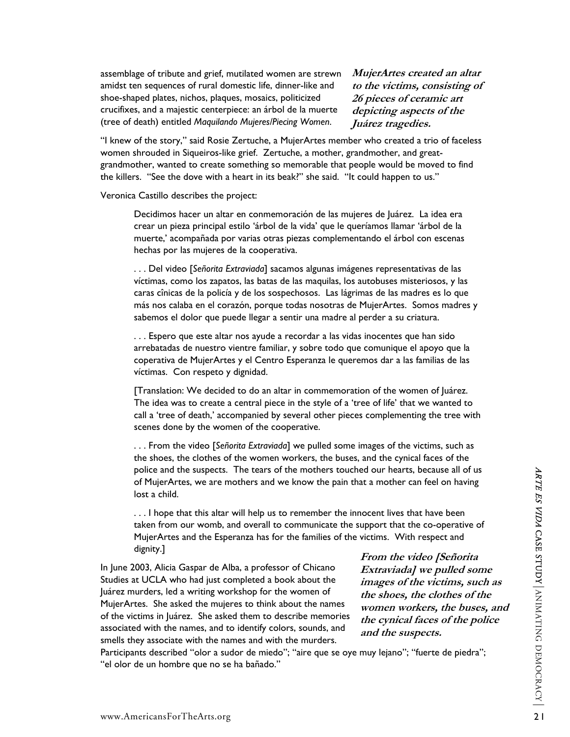assemblage of tribute and grief, mutilated women are strewn amidst ten sequences of rural domestic life, dinner-like and shoe-shaped plates, nichos, plaques, mosaics, politicized crucifixes, and a majestic centerpiece: an árbol de la muerte (tree of death) entitled *Maquilando Mujeres/Piecing Women*.

**MujerArtes created an altar to the victims, consisting of 26 pieces of ceramic art depicting aspects of the Juárez tragedies.** 

"I knew of the story," said Rosie Zertuche, a MujerArtes member who created a trio of faceless women shrouded in Siqueiros-like grief. Zertuche, a mother, grandmother, and greatgrandmother, wanted to create something so memorable that people would be moved to find the killers. "See the dove with a heart in its beak?" she said. "It could happen to us."

Veronica Castillo describes the project:

Decidimos hacer un altar en conmemoración de las mujeres de Juárez. La idea era crear un pieza principal estilo 'árbol de la vida' que le queríamos llamar 'árbol de la muerte,' acompañada por varias otras piezas complementando el árbol con escenas hechas por las mujeres de la cooperativa.

. . . Del video [*Señorita Extraviada*] sacamos algunas imágenes representativas de las víctimas, como los zapatos, las batas de las maquilas, los autobuses misteriosos, y las caras cînicas de la policía y de los sospechosos. Las lágrimas de las madres es lo que más nos calaba en el corazón, porque todas nosotras de MujerArtes. Somos madres y sabemos el dolor que puede llegar a sentir una madre al perder a su criatura.

. . . Espero que este altar nos ayude a recordar a las vidas inocentes que han sido arrebatadas de nuestro vientre familiar, y sobre todo que comunique el apoyo que la coperativa de MujerArtes y el Centro Esperanza le queremos dar a las familias de las víctimas. Con respeto y dignidad.

[Translation: We decided to do an altar in commemoration of the women of Juárez. The idea was to create a central piece in the style of a 'tree of life' that we wanted to call a 'tree of death,' accompanied by several other pieces complementing the tree with scenes done by the women of the cooperative.

. . . From the video [*Señorita Extraviada*] we pulled some images of the victims, such as the shoes, the clothes of the women workers, the buses, and the cynical faces of the police and the suspects. The tears of the mothers touched our hearts, because all of us of MujerArtes, we are mothers and we know the pain that a mother can feel on having lost a child.

. . . I hope that this altar will help us to remember the innocent lives that have been taken from our womb, and overall to communicate the support that the co-operative of MujerArtes and the Esperanza has for the families of the victims. With respect and dignity.]

police and the suspects. The tears of the mothers touched our hearts, because all of us<br>
of MujerArtes, we are mothers and we know the pain that a mother can feel on having<br>
lost a child.<br>
... I hope that this altar will In June 2003, Alicia Gaspar de Alba, a professor of Chicano Studies at UCLA who had just completed a book about the Juárez murders, led a writing workshop for the women of MujerArtes. She asked the mujeres to think about the names of the victims in Juárez. She asked them to describe memories associated with the names, and to identify colors, sounds, and smells they associate with the names and with the murders.

**From the video [Señorita Extraviada] we pulled some images of the victims, such as the shoes, the clothes of the women workers, the buses, and the cynical faces of the police and the suspects.** 

Participants described "olor a sudor de miedo"; "aire que se oye muy lejano"; "fuerte de piedra"; "el olor de un hombre que no se ha bañado."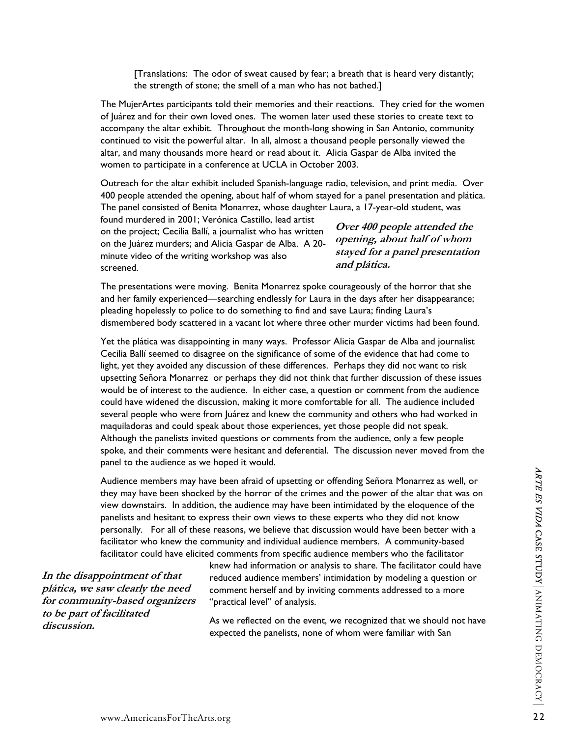[Translations: The odor of sweat caused by fear; a breath that is heard very distantly; the strength of stone; the smell of a man who has not bathed.]

The MujerArtes participants told their memories and their reactions. They cried for the women of Juárez and for their own loved ones. The women later used these stories to create text to accompany the altar exhibit. Throughout the month-long showing in San Antonio, community continued to visit the powerful altar. In all, almost a thousand people personally viewed the altar, and many thousands more heard or read about it. Alicia Gaspar de Alba invited the women to participate in a conference at UCLA in October 2003.

Outreach for the altar exhibit included Spanish-language radio, television, and print media. Over 400 people attended the opening, about half of whom stayed for a panel presentation and plática. The panel consisted of Benita Monarrez, whose daughter Laura, a 17-year-old student, was

found murdered in 2001; Verónica Castillo, lead artist on the project; Cecilia Ballí, a journalist who has written on the Juárez murders; and Alicia Gaspar de Alba. A 20 minute video of the writing workshop was also screened.

**Over 400 people attended the opening, about half of whom stayed for a panel presentation and plática.** 

The presentations were moving. Benita Monarrez spoke courageously of the horror that she and her family experienced—searching endlessly for Laura in the days after her disappearance; pleading hopelessly to police to do something to find and save Laura; finding Laura's dismembered body scattered in a vacant lot where three other murder victims had been found.

Yet the plática was disappointing in many ways. Professor Alicia Gaspar de Alba and journalist Cecilia Ballí seemed to disagree on the significance of some of the evidence that had come to light, yet they avoided any discussion of these differences. Perhaps they did not want to risk upsetting Señora Monarrez or perhaps they did not think that further discussion of these issues would be of interest to the audience. In either case, a question or comment from the audience could have widened the discussion, making it more comfortable for all. The audience included several people who were from Juárez and knew the community and others who had worked in maquiladoras and could speak about those experiences, yet those people did not speak. Although the panelists invited questions or comments from the audience, only a few people spoke, and their comments were hesitant and deferential. The discussion never moved from the panel to the audience as we hoped it would.

Audience members may have been afraid of upsetting or offending Señora Monarrez as well, or<br>they may have been shocked by the horror of the crimes and the power of the altar that was on<br>view downstairs. In addition, the au Audience members may have been afraid of upsetting or offending Señora Monarrez as well, or they may have been shocked by the horror of the crimes and the power of the altar that was on view downstairs. In addition, the audience may have been intimidated by the eloquence of the panelists and hesitant to express their own views to these experts who they did not know personally. For all of these reasons, we believe that discussion would have been better with a facilitator who knew the community and individual audience members. A community-based facilitator could have elicited comments from specific audience members who the facilitator

**In the disappointment of that plática, we saw clearly the need for community-based organizers to be part of facilitated discussion.** 

knew had information or analysis to share. The facilitator could have reduced audience members' intimidation by modeling a question or comment herself and by inviting comments addressed to a more "practical level" of analysis.

As we reflected on the event, we recognized that we should not have expected the panelists, none of whom were familiar with San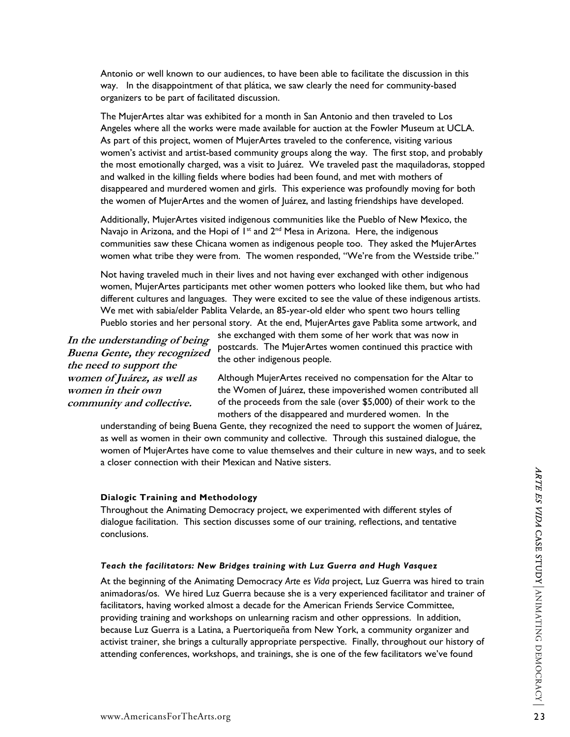Antonio or well known to our audiences, to have been able to facilitate the discussion in this way. In the disappointment of that plática, we saw clearly the need for community-based organizers to be part of facilitated discussion.

The MujerArtes altar was exhibited for a month in San Antonio and then traveled to Los Angeles where all the works were made available for auction at the Fowler Museum at UCLA. As part of this project, women of MujerArtes traveled to the conference, visiting various women's activist and artist-based community groups along the way. The first stop, and probably the most emotionally charged, was a visit to Juárez. We traveled past the maquiladoras, stopped and walked in the killing fields where bodies had been found, and met with mothers of disappeared and murdered women and girls. This experience was profoundly moving for both the women of MujerArtes and the women of Juárez, and lasting friendships have developed.

Additionally, MujerArtes visited indigenous communities like the Pueblo of New Mexico, the Navajo in Arizona, and the Hopi of  $1^{st}$  and  $2^{nd}$  Mesa in Arizona. Here, the indigenous communities saw these Chicana women as indigenous people too. They asked the MujerArtes women what tribe they were from. The women responded, "We're from the Westside tribe."

Not having traveled much in their lives and not having ever exchanged with other indigenous women, MujerArtes participants met other women potters who looked like them, but who had different cultures and languages. They were excited to see the value of these indigenous artists. We met with sabia/elder Pablita Velarde, an 85-year-old elder who spent two hours telling Pueblo stories and her personal story. At the end, MujerArtes gave Pablita some artwork, and

**In the understanding of being Buena Gente, they recognized the need to support the women of Juárez, as well as women in their own community and collective.** 

she exchanged with them some of her work that was now in postcards. The MujerArtes women continued this practice with the other indigenous people.

Although MujerArtes received no compensation for the Altar to the Women of Juárez, these impoverished women contributed all of the proceeds from the sale (over \$5,000) of their work to the mothers of the disappeared and murdered women. In the

understanding of being Buena Gente, they recognized the need to support the women of Juárez, as well as women in their own community and collective. Through this sustained dialogue, the women of MujerArtes have come to value themselves and their culture in new ways, and to seek a closer connection with their Mexican and Native sisters.

# **Dialogic Training and Methodology**

Throughout the Animating Democracy project, we experimented with different styles of dialogue facilitation. This section discusses some of our training, reflections, and tentative conclusions.

#### *Teach the facilitators: New Bridges training with Luz Guerra and Hugh Vasquez*

Dialogic Training and Methodology<br>
Throughout the Animating Democracy project, we experimented with different styles of<br>
dialogue facilitation. This section discusses some of our training, reflections, and tentative<br>
concl At the beginning of the Animating Democracy *Arte es Vida* project, Luz Guerra was hired to train animadoras/os. We hired Luz Guerra because she is a very experienced facilitator and trainer of facilitators, having worked almost a decade for the American Friends Service Committee, providing training and workshops on unlearning racism and other oppressions. In addition, because Luz Guerra is a Latina, a Puertoriqueña from New York, a community organizer and activist trainer, she brings a culturally appropriate perspective. Finally, throughout our history of attending conferences, workshops, and trainings, she is one of the few facilitators we've found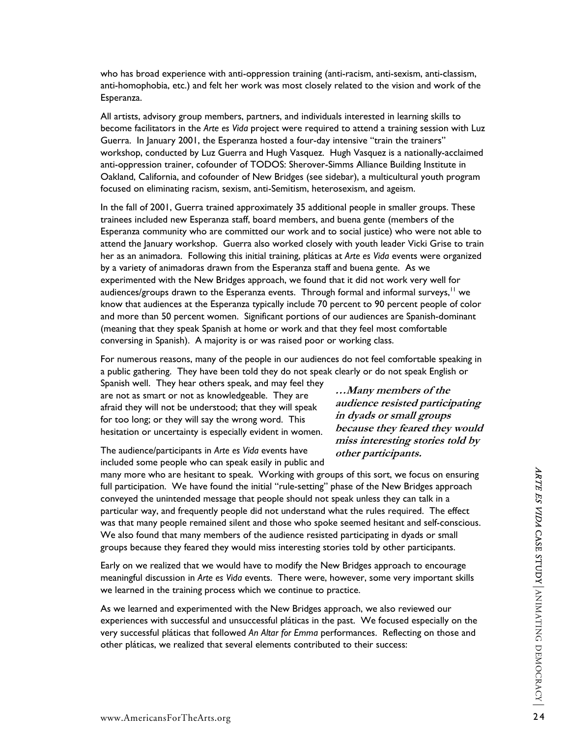who has broad experience with anti-oppression training (anti-racism, anti-sexism, anti-classism, anti-homophobia, etc.) and felt her work was most closely related to the vision and work of the Esperanza.

All artists, advisory group members, partners, and individuals interested in learning skills to become facilitators in the *Arte es Vida* project were required to attend a training session with Luz Guerra. In January 2001, the Esperanza hosted a four-day intensive "train the trainers" workshop, conducted by Luz Guerra and Hugh Vasquez. Hugh Vasquez is a nationally-acclaimed anti-oppression trainer, cofounder of TODOS: Sherover-Simms Alliance Building Institute in Oakland, California, and cofounder of New Bridges (see sidebar), a multicultural youth program focused on eliminating racism, sexism, anti-Semitism, heterosexism, and ageism.

In the fall of 2001, Guerra trained approximately 35 additional people in smaller groups. These trainees included new Esperanza staff, board members, and buena gente (members of the Esperanza community who are committed our work and to social justice) who were not able to attend the January workshop. Guerra also worked closely with youth leader Vicki Grise to train her as an animadora. Following this initial training, pláticas at *Arte es Vida* events were organized by a variety of animadoras drawn from the Esperanza staff and buena gente. As we experimented with the New Bridges approach, we found that it did not work very well for audiences/groups drawn to the Esperanza events. Through formal and informal surveys,<sup>11</sup> we know that audiences at the Esperanza typically include 70 percent to 90 percent people of color and more than 50 percent women. Significant portions of our audiences are Spanish-dominant (meaning that they speak Spanish at home or work and that they feel most comfortable conversing in Spanish). A majority is or was raised poor or working class.

For numerous reasons, many of the people in our audiences do not feel comfortable speaking in a public gathering. They have been told they do not speak clearly or do not speak English or

Spanish well. They hear others speak, and may feel they are not as smart or not as knowledgeable. They are afraid they will not be understood; that they will speak for too long; or they will say the wrong word. This hesitation or uncertainty is especially evident in women.

The audience/participants in *Arte es Vida* events have included some people who can speak easily in public and

**…Many members of the audience resisted participating in dyads or small groups because they feared they would miss interesting stories told by other participants.** 

many more who are hestiant to speak. Working with groups of this sort, we focus on ensuring<br>that participation. We have found the initial "rule-setting" phase of the New Bridges approach<br>conveyed the unintended message tha many more who are hesitant to speak. Working with groups of this sort, we focus on ensuring full participation. We have found the initial "rule-setting" phase of the New Bridges approach conveyed the unintended message that people should not speak unless they can talk in a particular way, and frequently people did not understand what the rules required. The effect was that many people remained silent and those who spoke seemed hesitant and self-conscious. We also found that many members of the audience resisted participating in dyads or small groups because they feared they would miss interesting stories told by other participants.

Early on we realized that we would have to modify the New Bridges approach to encourage meaningful discussion in *Arte es Vida* events. There were, however, some very important skills we learned in the training process which we continue to practice.

As we learned and experimented with the New Bridges approach, we also reviewed our experiences with successful and unsuccessful pláticas in the past. We focused especially on the very successful pláticas that followed *An Altar for Emma* performances. Reflecting on those and other pláticas, we realized that several elements contributed to their success: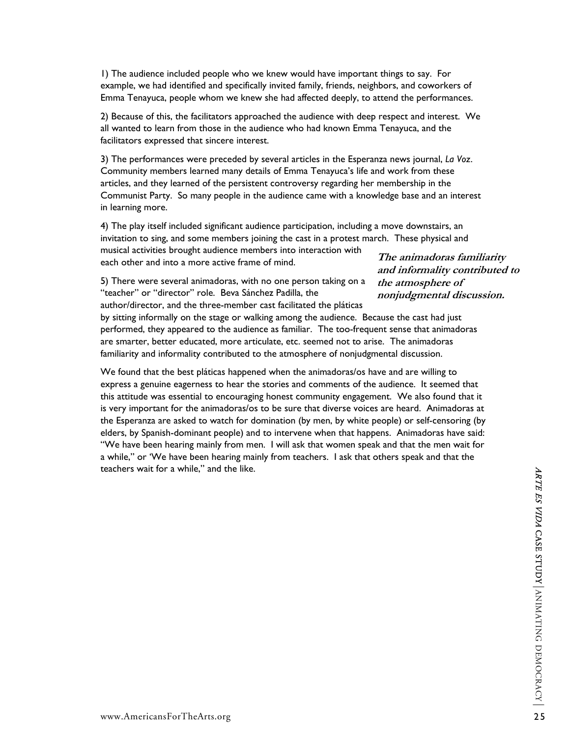1) The audience included people who we knew would have important things to say. For example, we had identified and specifically invited family, friends, neighbors, and coworkers of Emma Tenayuca, people whom we knew she had affected deeply, to attend the performances.

2) Because of this, the facilitators approached the audience with deep respect and interest. We all wanted to learn from those in the audience who had known Emma Tenayuca, and the facilitators expressed that sincere interest.

3) The performances were preceded by several articles in the Esperanza news journal, *La Voz*. Community members learned many details of Emma Tenayuca's life and work from these articles, and they learned of the persistent controversy regarding her membership in the Communist Party. So many people in the audience came with a knowledge base and an interest in learning more.

4) The play itself included significant audience participation, including a move downstairs, an invitation to sing, and some members joining the cast in a protest march. These physical and musical activities brought audience members into interaction with each other and into a more active frame of mind.

5) There were several animadoras, with no one person taking on a "teacher" or "director" role. Beva Sánchez Padilla, the author/director, and the three-member cast facilitated the pláticas by sitting informally on the stage or walking among the audience. Because the cast had just

performed, they appeared to the audience as familiar. The too-frequent sense that animadoras are smarter, better educated, more articulate, etc. seemed not to arise. The animadoras familiarity and informality contributed to the atmosphere of nonjudgmental discussion.

We found that the best pláticas happened when the animadoras/os have and are willing to express a genuine eagerness to hear the stories and comments of the audience. It seemed that this attitude was essential to encouraging honest community engagement. We also found that it is very important for the animadoras/os to be sure that diverse voices are heard. Animadoras at the Esperanza are asked to watch for domination (by men, by white people) or self-censoring (by elders, by Spanish-dominant people) and to intervene when that happens. Animadoras have said: "We have been hearing mainly from men. I will ask that women speak and that the men wait for a while," or 'We have been hearing mainly from teachers. I ask that others speak and that the teachers wait for a while," and the like.

**The animadoras familiarity and informality contributed to the atmosphere of nonjudgmental discussion.**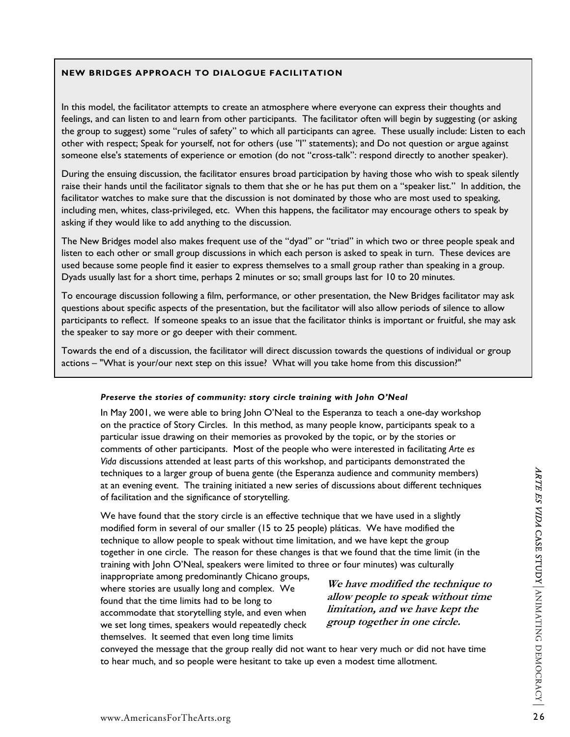# **NEW BRIDGES APPROACH TO DIALOGUE FACILITATION**

In this model, the facilitator attempts to create an atmosphere where everyone can express their thoughts and feelings, and can listen to and learn from other participants. The facilitator often will begin by suggesting (or asking the group to suggest) some "rules of safety" to which all participants can agree. These usually include: Listen to each other with respect; Speak for yourself, not for others (use "I" statements); and Do not question or argue against someone else's statements of experience or emotion (do not "cross-talk": respond directly to another speaker).

During the ensuing discussion, the facilitator ensures broad participation by having those who wish to speak silently raise their hands until the facilitator signals to them that she or he has put them on a "speaker list." In addition, the facilitator watches to make sure that the discussion is not dominated by those who are most used to speaking, including men, whites, class-privileged, etc. When this happens, the facilitator may encourage others to speak by asking if they would like to add anything to the discussion.

The New Bridges model also makes frequent use of the "dyad" or "triad" in which two or three people speak and listen to each other or small group discussions in which each person is asked to speak in turn. These devices are used because some people find it easier to express themselves to a small group rather than speaking in a group. Dyads usually last for a short time, perhaps 2 minutes or so; small groups last for 10 to 20 minutes.

To encourage discussion following a film, performance, or other presentation, the New Bridges facilitator may ask questions about specific aspects of the presentation, but the facilitator will also allow periods of silence to allow participants to reflect. If someone speaks to an issue that the facilitator thinks is important or fruitful, she may ask the speaker to say more or go deeper with their comment.

Towards the end of a discussion, the facilitator will direct discussion towards the questions of individual or group actions – "What is your/our next step on this issue? What will you take home from this discussion?"

# *Preserve the stories of community: story circle training with John O'Neal*

In May 2001, we were able to bring John O'Neal to the Esperanza to teach a one-day workshop on the practice of Story Circles. In this method, as many people know, participants speak to a particular issue drawing on their memories as provoked by the topic, or by the stories or comments of other participants. Most of the people who were interested in facilitating *Arte es Vida* discussions attended at least parts of this workshop, and participants demonstrated the techniques to a larger group of buena gente (the Esperanza audience and community members) at an evening event. The training initiated a new series of discussions about different techniques of facilitation and the significance of storytelling.

techniques to a larger group of buena gente (the Esperanza audience and community members)<br>
at an evening event. The training initiated a new series of discussions about different techniques<br>
Of facilitation and the signif We have found that the story circle is an effective technique that we have used in a slightly modified form in several of our smaller (15 to 25 people) pláticas. We have modified the technique to allow people to speak without time limitation, and we have kept the group together in one circle. The reason for these changes is that we found that the time limit (in the training with John O'Neal, speakers were limited to three or four minutes) was culturally

inappropriate among predominantly Chicano groups, where stories are usually long and complex. We found that the time limits had to be long to accommodate that storytelling style, and even when we set long times, speakers would repeatedly check themselves. It seemed that even long time limits

**We have modified the technique to allow people to speak without time limitation, and we have kept the group together in one circle.** 

conveyed the message that the group really did not want to hear very much or did not have time to hear much, and so people were hesitant to take up even a modest time allotment.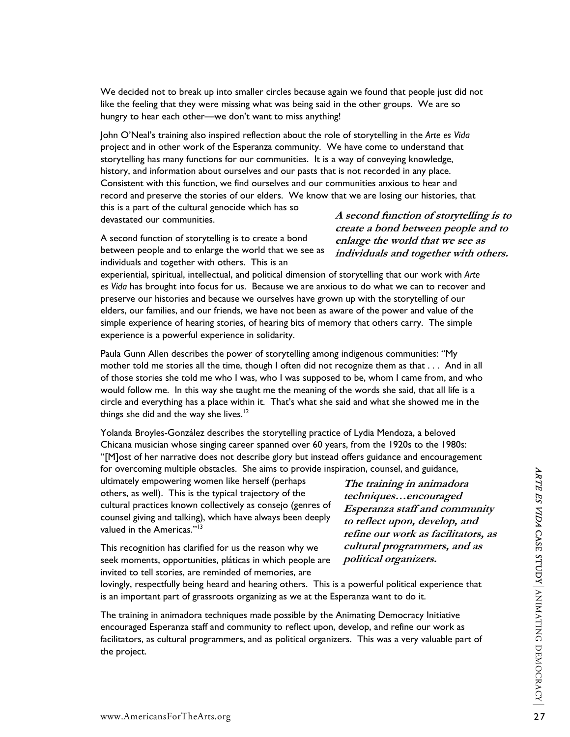We decided not to break up into smaller circles because again we found that people just did not like the feeling that they were missing what was being said in the other groups. We are so hungry to hear each other—we don't want to miss anything!

John O'Neal's training also inspired reflection about the role of storytelling in the *Arte es Vida* project and in other work of the Esperanza community. We have come to understand that storytelling has many functions for our communities. It is a way of conveying knowledge, history, and information about ourselves and our pasts that is not recorded in any place. Consistent with this function, we find ourselves and our communities anxious to hear and record and preserve the stories of our elders. We know that we are losing our histories, that this is a part of the cultural genocide which has so

devastated our communities.

A second function of storytelling is to create a bond between people and to enlarge the world that we see as individuals and together with others. This is an

**A second function of storytelling is to create a bond between people and to enlarge the world that we see as individuals and together with others.**

experiential, spiritual, intellectual, and political dimension of storytelling that our work with *Arte es Vida* has brought into focus for us. Because we are anxious to do what we can to recover and preserve our histories and because we ourselves have grown up with the storytelling of our elders, our families, and our friends, we have not been as aware of the power and value of the simple experience of hearing stories, of hearing bits of memory that others carry. The simple experience is a powerful experience in solidarity.

Paula Gunn Allen describes the power of storytelling among indigenous communities: "My mother told me stories all the time, though I often did not recognize them as that . . . And in all of those stories she told me who I was, who I was supposed to be, whom I came from, and who would follow me. In this way she taught me the meaning of the words she said, that all life is a circle and everything has a place within it. That's what she said and what she showed me in the things she did and the way she lives.<sup>12</sup>

Yolanda Broyles-González describes the storytelling practice of Lydia Mendoza, a beloved Chicana musician whose singing career spanned over 60 years, from the 1920s to the 1980s: "[M]ost of her narrative does not describe glory but instead offers guidance and encouragement for overcoming multiple obstacles. She aims to provide inspiration, counsel, and guidance,

ultimately empowering women like herself (perhaps others, as well). This is the typical trajectory of the cultural practices known collectively as consejo (genres of counsel giving and talking), which have always been deeply valued in the Americas."13

This recognition has clarified for us the reason why we seek moments, opportunities, pláticas in which people are invited to tell stories, are reminded of memories, are

**The training in animadora techniques…encouraged Esperanza staff and community to reflect upon, develop, and refine our work as facilitators, as cultural programmers, and as political organizers.** 

lovingly, respectfully being heard and hearing others. This is a powerful political experience that is an important part of grassroots organizing as we at the Esperanza want to do it.

for overcoming multiple obstacles. She aims to provide inspiration, counsel, and guidance,<br>others, as well). This is the typical trajectory of the *coloniques... encounaged*<br>counsel giving and talking), which have always b The training in animadora techniques made possible by the Animating Democracy Initiative encouraged Esperanza staff and community to reflect upon, develop, and refine our work as facilitators, as cultural programmers, and as political organizers. This was a very valuable part of the project.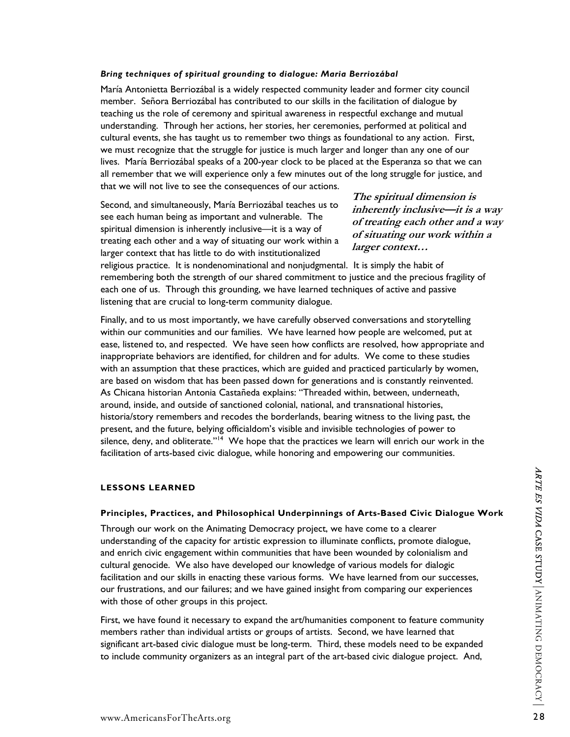#### *Bring techniques of spiritual grounding to dialogue: Maria Berriozábal*

María Antonietta Berriozábal is a widely respected community leader and former city council member. Señora Berriozábal has contributed to our skills in the facilitation of dialogue by teaching us the role of ceremony and spiritual awareness in respectful exchange and mutual understanding. Through her actions, her stories, her ceremonies, performed at political and cultural events, she has taught us to remember two things as foundational to any action. First, we must recognize that the struggle for justice is much larger and longer than any one of our lives. María Berriozábal speaks of a 200-year clock to be placed at the Esperanza so that we can all remember that we will experience only a few minutes out of the long struggle for justice, and that we will not live to see the consequences of our actions.

Second, and simultaneously, María Berriozábal teaches us to see each human being as important and vulnerable. The spiritual dimension is inherently inclusive—it is a way of treating each other and a way of situating our work within a larger context that has little to do with institutionalized

**The spiritual dimension is inherently inclusive—it is a way of treating each other and a way of situating our work within a larger context…** 

religious practice. It is nondenominational and nonjudgmental. It is simply the habit of remembering both the strength of our shared commitment to justice and the precious fragility of each one of us. Through this grounding, we have learned techniques of active and passive listening that are crucial to long-term community dialogue.

Finally, and to us most importantly, we have carefully observed conversations and storytelling within our communities and our families. We have learned how people are welcomed, put at ease, listened to, and respected. We have seen how conflicts are resolved, how appropriate and inappropriate behaviors are identified, for children and for adults. We come to these studies with an assumption that these practices, which are guided and practiced particularly by women, are based on wisdom that has been passed down for generations and is constantly reinvented. As Chicana historian Antonia Castañeda explains: "Threaded within, between, underneath, around, inside, and outside of sanctioned colonial, national, and transnational histories, historia/story remembers and recodes the borderlands, bearing witness to the living past, the present, and the future, belying officialdom's visible and invisible technologies of power to silence, deny, and obliterate."<sup>14</sup> We hope that the practices we learn will enrich our work in the facilitation of arts-based civic dialogue, while honoring and empowering our communities.

#### **LESSONS LEARNED**

#### **Principles, Practices, and Philosophical Underpinnings of Arts-Based Civic Dialogue Work**

**EESSONS LEARNED**<br> **Principles, Practices, and Philosophical Underpinnings of Arts-Based Civic Dialogue Work**<br>
Through our work on the Animating Democracy project, we have come to a clearer<br>
understanding of the capacity f Through our work on the Animating Democracy project, we have come to a clearer understanding of the capacity for artistic expression to illuminate conflicts, promote dialogue, and enrich civic engagement within communities that have been wounded by colonialism and cultural genocide. We also have developed our knowledge of various models for dialogic facilitation and our skills in enacting these various forms. We have learned from our successes, our frustrations, and our failures; and we have gained insight from comparing our experiences with those of other groups in this project.

First, we have found it necessary to expand the art/humanities component to feature community members rather than individual artists or groups of artists. Second, we have learned that significant art-based civic dialogue must be long-term. Third, these models need to be expanded to include community organizers as an integral part of the art-based civic dialogue project. And,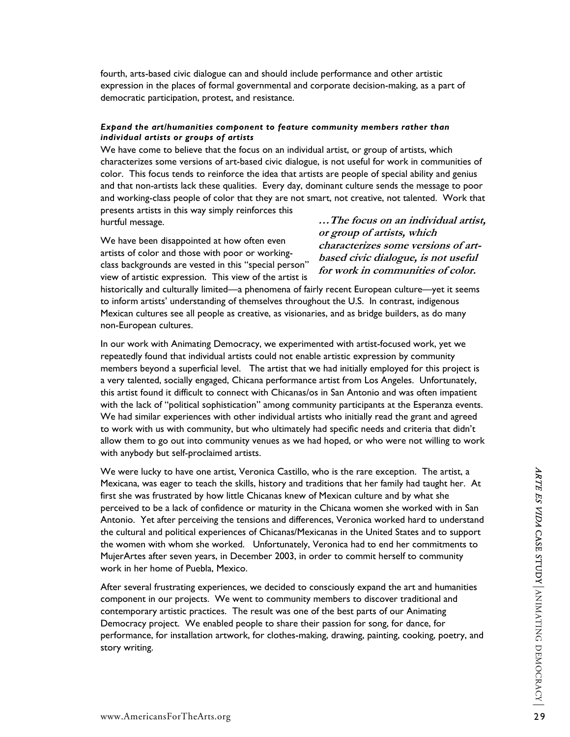fourth, arts-based civic dialogue can and should include performance and other artistic expression in the places of formal governmental and corporate decision-making, as a part of democratic participation, protest, and resistance.

#### *Expand the art/humanities component to feature community members rather than individual artists or groups of artists*

We have come to believe that the focus on an individual artist, or group of artists, which characterizes some versions of art-based civic dialogue, is not useful for work in communities of color. This focus tends to reinforce the idea that artists are people of special ability and genius and that non-artists lack these qualities. Every day, dominant culture sends the message to poor and working-class people of color that they are not smart, not creative, not talented. Work that presents artists in this way simply reinforces this hurtful message.

We have been disappointed at how often even artists of color and those with poor or workingclass backgrounds are vested in this "special person" view of artistic expression. This view of the artist is **…The focus on an individual artist, or group of artists, which characterizes some versions of artbased civic dialogue, is not useful for work in communities of color.** 

historically and culturally limited—a phenomena of fairly recent European culture—yet it seems to inform artists' understanding of themselves throughout the U.S. In contrast, indigenous Mexican cultures see all people as creative, as visionaries, and as bridge builders, as do many non-European cultures.

In our work with Animating Democracy, we experimented with artist-focused work, yet we repeatedly found that individual artists could not enable artistic expression by community members beyond a superficial level. The artist that we had initially employed for this project is a very talented, socially engaged, Chicana performance artist from Los Angeles. Unfortunately, this artist found it difficult to connect with Chicanas/os in San Antonio and was often impatient with the lack of "political sophistication" among community participants at the Esperanza events. We had similar experiences with other individual artists who initially read the grant and agreed to work with us with community, but who ultimately had specific needs and criteria that didn't allow them to go out into community venues as we had hoped, or who were not willing to work with anybody but self-proclaimed artists.

We were lucky to have one artist, Veronica Castillo, who is the rare exception. The artist, a<br>Mexicana, was eager to teach the skills, history and traditions that for family had taught her. At<br>first she was frustrated by h We were lucky to have one artist, Veronica Castillo, who is the rare exception. The artist, a Mexicana, was eager to teach the skills, history and traditions that her family had taught her. At first she was frustrated by how little Chicanas knew of Mexican culture and by what she perceived to be a lack of confidence or maturity in the Chicana women she worked with in San Antonio. Yet after perceiving the tensions and differences, Veronica worked hard to understand the cultural and political experiences of Chicanas/Mexicanas in the United States and to support the women with whom she worked. Unfortunately, Veronica had to end her commitments to MujerArtes after seven years, in December 2003, in order to commit herself to community work in her home of Puebla, Mexico.

After several frustrating experiences, we decided to consciously expand the art and humanities component in our projects. We went to community members to discover traditional and contemporary artistic practices. The result was one of the best parts of our Animating Democracy project. We enabled people to share their passion for song, for dance, for performance, for installation artwork, for clothes-making, drawing, painting, cooking, poetry, and story writing.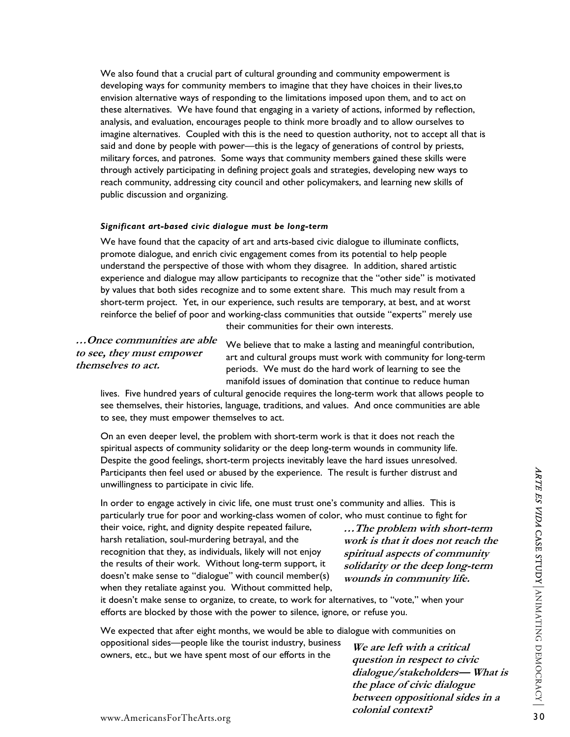We also found that a crucial part of cultural grounding and community empowerment is developing ways for community members to imagine that they have choices in their lives,to envision alternative ways of responding to the limitations imposed upon them, and to act on these alternatives. We have found that engaging in a variety of actions, informed by reflection, analysis, and evaluation, encourages people to think more broadly and to allow ourselves to imagine alternatives. Coupled with this is the need to question authority, not to accept all that is said and done by people with power—this is the legacy of generations of control by priests, military forces, and patrones. Some ways that community members gained these skills were through actively participating in defining project goals and strategies, developing new ways to reach community, addressing city council and other policymakers, and learning new skills of public discussion and organizing.

#### *Significant art-based civic dialogue must be long-term*

We have found that the capacity of art and arts-based civic dialogue to illuminate conflicts, promote dialogue, and enrich civic engagement comes from its potential to help people understand the perspective of those with whom they disagree. In addition, shared artistic experience and dialogue may allow participants to recognize that the "other side" is motivated by values that both sides recognize and to some extent share. This much may result from a short-term project. Yet, in our experience, such results are temporary, at best, and at worst reinforce the belief of poor and working-class communities that outside "experts" merely use

their communities for their own interests.

# **…Once communities are able to see, they must empower themselves to act.**

We believe that to make a lasting and meaningful contribution, art and cultural groups must work with community for long-term periods. We must do the hard work of learning to see the manifold issues of domination that continue to reduce human

lives. Five hundred years of cultural genocide requires the long-term work that allows people to see themselves, their histories, language, traditions, and values. And once communities are able to see, they must empower themselves to act.

On an even deeper level, the problem with short-term work is that it does not reach the spiritual aspects of community solidarity or the deep long-term wounds in community life. Despite the good feelings, short-term projects inevitably leave the hard issues unresolved. Participants then feel used or abused by the experience. The result is further distrust and unwillingness to participate in civic life.

In order to engage actively in civic life, one must trust one's community and allies. This is particularly true for poor and working-class women of color, who must continue to fight for

Participants then feel used or abused by the experience. The result is further distrust and<br>
In order to engge actively in civic life,<br>
no morter to regge actively in civic life, one must trust one's community and allies. their voice, right, and dignity despite repeated failure, harsh retaliation, soul-murdering betrayal, and the recognition that they, as individuals, likely will not enjoy the results of their work. Without long-term support, it doesn't make sense to "dialogue" with council member(s) when they retaliate against you. Without committed help,

**…The problem with short-term work is that it does not reach the spiritual aspects of community solidarity or the deep long-term wounds in community life.** 

it doesn't make sense to organize, to create, to work for alternatives, to "vote," when your efforts are blocked by those with the power to silence, ignore, or refuse you.

We expected that after eight months, we would be able to dialogue with communities on

oppositional sides—people like the tourist industry, business owners, etc., but we have spent most of our efforts in the

**We are left with a critical question in respect to civic dialogue/stakeholders— What is the place of civic dialogue between oppositional sides in a colonial context?**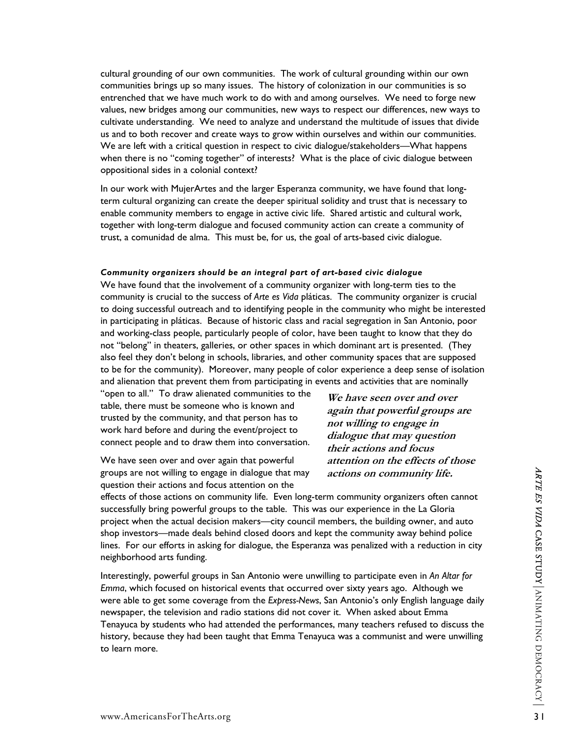cultural grounding of our own communities. The work of cultural grounding within our own communities brings up so many issues. The history of colonization in our communities is so entrenched that we have much work to do with and among ourselves. We need to forge new values, new bridges among our communities, new ways to respect our differences, new ways to cultivate understanding. We need to analyze and understand the multitude of issues that divide us and to both recover and create ways to grow within ourselves and within our communities. We are left with a critical question in respect to civic dialogue/stakeholders—What happens when there is no "coming together" of interests? What is the place of civic dialogue between oppositional sides in a colonial context?

In our work with MujerArtes and the larger Esperanza community, we have found that longterm cultural organizing can create the deeper spiritual solidity and trust that is necessary to enable community members to engage in active civic life. Shared artistic and cultural work, together with long-term dialogue and focused community action can create a community of trust, a comunidad de alma. This must be, for us, the goal of arts-based civic dialogue.

#### *Community organizers should be an integral part of art-based civic dialogue*

We have found that the involvement of a community organizer with long-term ties to the community is crucial to the success of *Arte es Vida* pláticas. The community organizer is crucial to doing successful outreach and to identifying people in the community who might be interested in participating in pláticas. Because of historic class and racial segregation in San Antonio, poor and working-class people, particularly people of color, have been taught to know that they do not "belong" in theaters, galleries, or other spaces in which dominant art is presented. (They also feel they don't belong in schools, libraries, and other community spaces that are supposed to be for the community). Moreover, many people of color experience a deep sense of isolation and alienation that prevent them from participating in events and activities that are nominally

"open to all." To draw alienated communities to the table, there must be someone who is known and trusted by the community, and that person has to work hard before and during the event/project to connect people and to draw them into conversation.

We have seen over and over again that powerful groups are not willing to engage in dialogue that may question their actions and focus attention on the

**We have seen over and over again that powerful groups are not willing to engage in dialogue that may question their actions and focus attention on the effects of those actions on community life.** 

effects of those actions on community life. Even long-term community organizers often cannot successfully bring powerful groups to the table. This was our experience in the La Gloria project when the actual decision makers—city council members, the building owner, and auto shop investors—made deals behind closed doors and kept the community away behind police lines. For our efforts in asking for dialogue, the Esperanza was penalized with a reduction in city neighborhood arts funding.

groups are not willing to engage in dialogue that may<br>effects of those actions and focus attention on the<br>effects of those actions on community life. Even long-term community organizers often cannot<br>successfully bring powe Interestingly, powerful groups in San Antonio were unwilling to participate even in *An Altar for Emma*, which focused on historical events that occurred over sixty years ago. Although we were able to get some coverage from the *Express-News*, San Antonio's only English language daily newspaper, the television and radio stations did not cover it. When asked about Emma Tenayuca by students who had attended the performances, many teachers refused to discuss the history, because they had been taught that Emma Tenayuca was a communist and were unwilling to learn more.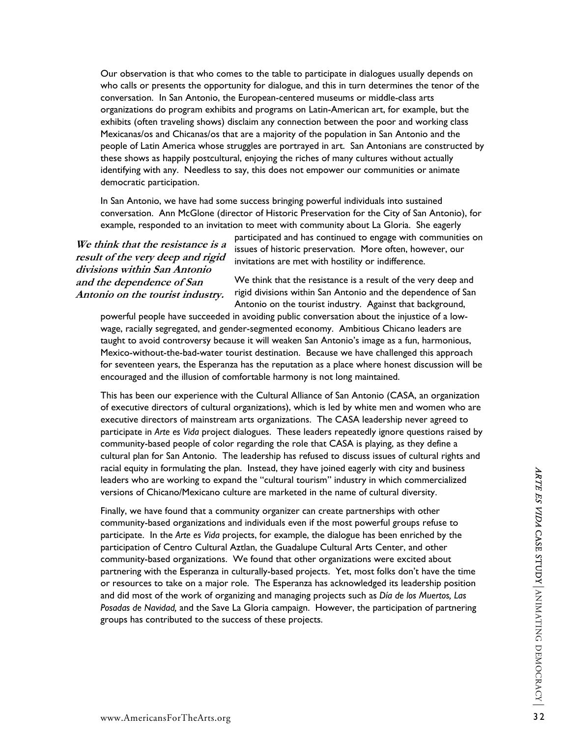Our observation is that who comes to the table to participate in dialogues usually depends on who calls or presents the opportunity for dialogue, and this in turn determines the tenor of the conversation. In San Antonio, the European-centered museums or middle-class arts organizations do program exhibits and programs on Latin-American art, for example, but the exhibits (often traveling shows) disclaim any connection between the poor and working class Mexicanas/os and Chicanas/os that are a majority of the population in San Antonio and the people of Latin America whose struggles are portrayed in art. San Antonians are constructed by these shows as happily postcultural, enjoying the riches of many cultures without actually identifying with any. Needless to say, this does not empower our communities or animate democratic participation.

In San Antonio, we have had some success bringing powerful individuals into sustained conversation. Ann McGlone (director of Historic Preservation for the City of San Antonio), for example, responded to an invitation to meet with community about La Gloria. She eagerly

**We think that the resistance is a result of the very deep and rigid divisions within San Antonio and the dependence of San Antonio on the tourist industry.** 

participated and has continued to engage with communities on issues of historic preservation. More often, however, our invitations are met with hostility or indifference.

We think that the resistance is a result of the very deep and rigid divisions within San Antonio and the dependence of San Antonio on the tourist industry. Against that background,

powerful people have succeeded in avoiding public conversation about the injustice of a lowwage, racially segregated, and gender-segmented economy. Ambitious Chicano leaders are taught to avoid controversy because it will weaken San Antonio's image as a fun, harmonious, Mexico-without-the-bad-water tourist destination. Because we have challenged this approach for seventeen years, the Esperanza has the reputation as a place where honest discussion will be encouraged and the illusion of comfortable harmony is not long maintained.

This has been our experience with the Cultural Alliance of San Antonio (CASA, an organization of executive directors of cultural organizations), which is led by white men and women who are executive directors of mainstream arts organizations. The CASA leadership never agreed to participate in *Arte es Vida* project dialogues. These leaders repeatedly ignore questions raised by community-based people of color regarding the role that CASA is playing, as they define a cultural plan for San Antonio. The leadership has refused to discuss issues of cultural rights and racial equity in formulating the plan. Instead, they have joined eagerly with city and business leaders who are working to expand the "cultural tourism" industry in which commercialized versions of Chicano/Mexicano culture are marketed in the name of cultural diversity.

Tractal equity in formulating the pain. Instead, they have joined eagerly what in cases are verified between the "cultural dourism" industry in which commercialized versions of Chicano/Mexicano culture are marketed in the Finally, we have found that a community organizer can create partnerships with other community-based organizations and individuals even if the most powerful groups refuse to participate. In the *Arte es Vida* projects, for example, the dialogue has been enriched by the participation of Centro Cultural Aztlan, the Guadalupe Cultural Arts Center, and other community-based organizations. We found that other organizations were excited about partnering with the Esperanza in culturally-based projects. Yet, most folks don't have the time or resources to take on a major role. The Esperanza has acknowledged its leadership position and did most of the work of organizing and managing projects such as *Día de los Muertos, Las Posadas de Navidad,* and the Save La Gloria campaign. However, the participation of partnering groups has contributed to the success of these projects.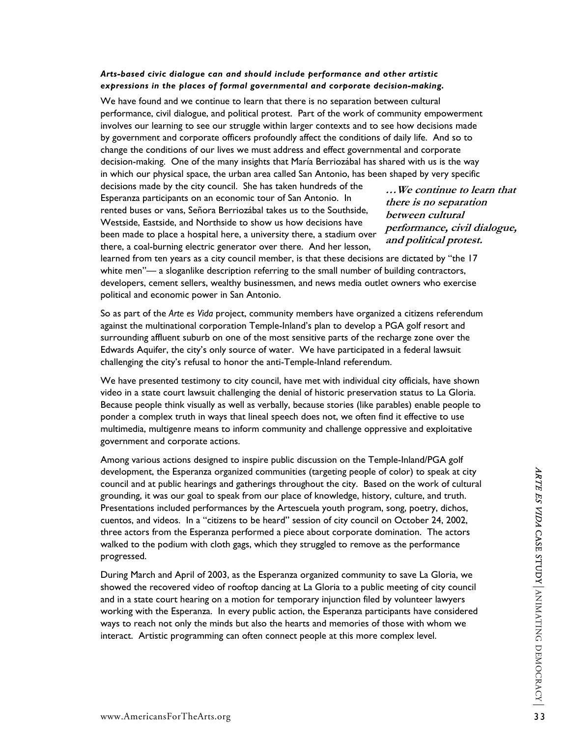#### *Arts-based civic dialogue can and should include performance and other artistic expressions in the places of formal governmental and corporate decision-making.*

We have found and we continue to learn that there is no separation between cultural performance, civil dialogue, and political protest. Part of the work of community empowerment involves our learning to see our struggle within larger contexts and to see how decisions made by government and corporate officers profoundly affect the conditions of daily life. And so to change the conditions of our lives we must address and effect governmental and corporate decision-making. One of the many insights that María Berriozábal has shared with us is the way in which our physical space, the urban area called San Antonio, has been shaped by very specific

decisions made by the city council. She has taken hundreds of the Esperanza participants on an economic tour of San Antonio. In rented buses or vans, Señora Berriozábal takes us to the Southside, Westside, Eastside, and Northside to show us how decisions have been made to place a hospital here, a university there, a stadium over there, a coal-burning electric generator over there. And her lesson,

**…We continue to learn that there is no separation between cultural performance, civil dialogue, and political protest.** 

learned from ten years as a city council member, is that these decisions are dictated by "the 17 white men"— a sloganlike description referring to the small number of building contractors, developers, cement sellers, wealthy businessmen, and news media outlet owners who exercise political and economic power in San Antonio.

So as part of the *Arte es Vida* project, community members have organized a citizens referendum against the multinational corporation Temple-Inland's plan to develop a PGA golf resort and surrounding affluent suburb on one of the most sensitive parts of the recharge zone over the Edwards Aquifer, the city's only source of water. We have participated in a federal lawsuit challenging the city's refusal to honor the anti-Temple-Inland referendum.

We have presented testimony to city council, have met with individual city officials, have shown video in a state court lawsuit challenging the denial of historic preservation status to La Gloria. Because people think visually as well as verbally, because stories (like parables) enable people to ponder a complex truth in ways that lineal speech does not, we often find it effective to use multimedia, multigenre means to inform community and challenge oppressive and exploitative government and corporate actions.

development, the Esperanza organized communities (targeting people of color) to speak at city<br>council and at public hearings and gatherings throughout the city. Based on the work of cultural<br>grounding, it was our goal to s Among various actions designed to inspire public discussion on the Temple-Inland/PGA golf development, the Esperanza organized communities (targeting people of color) to speak at city council and at public hearings and gatherings throughout the city. Based on the work of cultural grounding, it was our goal to speak from our place of knowledge, history, culture, and truth. Presentations included performances by the Artescuela youth program, song, poetry, dichos, cuentos, and videos. In a "citizens to be heard" session of city council on October 24, 2002, three actors from the Esperanza performed a piece about corporate domination. The actors walked to the podium with cloth gags, which they struggled to remove as the performance progressed.

During March and April of 2003, as the Esperanza organized community to save La Gloria, we showed the recovered video of rooftop dancing at La Gloria to a public meeting of city council and in a state court hearing on a motion for temporary injunction filed by volunteer lawyers working with the Esperanza. In every public action, the Esperanza participants have considered ways to reach not only the minds but also the hearts and memories of those with whom we interact. Artistic programming can often connect people at this more complex level.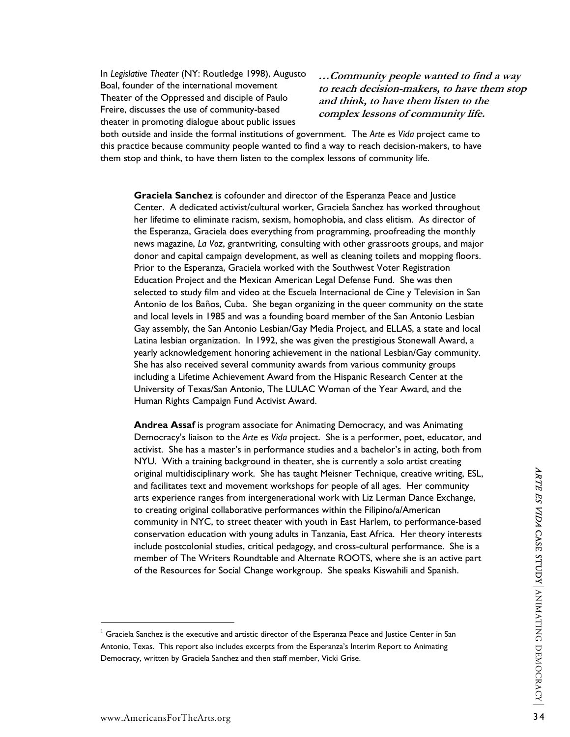In *Legislative Theater* (NY: Routledge 1998), Augusto Boal, founder of the international movement Theater of the Oppressed and disciple of Paulo Freire, discusses the use of community-based theater in promoting dialogue about public issues

**…Community people wanted to find a way to reach decision-makers, to have them stop and think, to have them listen to the complex lessons of community life.** 

both outside and inside the formal institutions of government. The *Arte es Vida* project came to this practice because community people wanted to find a way to reach decision-makers, to have them stop and think, to have them listen to the complex lessons of community life.

**Graciela Sanchez** is cofounder and director of the Esperanza Peace and Justice Center. A dedicated activist/cultural worker, Graciela Sanchez has worked throughout her lifetime to eliminate racism, sexism, homophobia, and class elitism. As director of the Esperanza, Graciela does everything from programming, proofreading the monthly news magazine, *La Voz*, grantwriting, consulting with other grassroots groups, and major donor and capital campaign development, as well as cleaning toilets and mopping floors. Prior to the Esperanza, Graciela worked with the Southwest Voter Registration Education Project and the Mexican American Legal Defense Fund. She was then selected to study film and video at the Escuela Internacional de Cine y Television in San Antonio de los Baños, Cuba. She began organizing in the queer community on the state and local levels in 1985 and was a founding board member of the San Antonio Lesbian Gay assembly, the San Antonio Lesbian/Gay Media Project, and ELLAS, a state and local Latina lesbian organization. In 1992, she was given the prestigious Stonewall Award, a yearly acknowledgement honoring achievement in the national Lesbian/Gay community. She has also received several community awards from various community groups including a Lifetime Achievement Award from the Hispanic Research Center at the University of Texas/San Antonio, The LULAC Woman of the Year Award, and the Human Rights Campaign Fund Activist Award.

original multidisciplinary work. She has taught Meisner Technique, creative writing, ESL,<br>and facilitates text and movement workshops for people of all ages. Her community<br>arts experience ranges from intergenerational work **Andrea Assaf** is program associate for Animating Democracy, and was Animating Democracy's liaison to the *Arte es Vida* project. She is a performer, poet, educator, and activist. She has a master's in performance studies and a bachelor's in acting, both from NYU. With a training background in theater, she is currently a solo artist creating original multidisciplinary work. She has taught Meisner Technique, creative writing, ESL, and facilitates text and movement workshops for people of all ages. Her community arts experience ranges from intergenerational work with Liz Lerman Dance Exchange, to creating original collaborative performances within the Filipino/a/American community in NYC, to street theater with youth in East Harlem, to performance-based conservation education with young adults in Tanzania, East Africa. Her theory interests include postcolonial studies, critical pedagogy, and cross-cultural performance. She is a member of The Writers Roundtable and Alternate ROOTS, where she is an active part of the Resources for Social Change workgroup. She speaks Kiswahili and Spanish.

 $\overline{a}$ 

 $^{\rm l}$  Graciela Sanchez is the executive and artistic director of the Esperanza Peace and Justice Center in San Antonio, Texas. This report also includes excerpts from the Esperanza's Interim Report to Animating Democracy, written by Graciela Sanchez and then staff member, Vicki Grise.